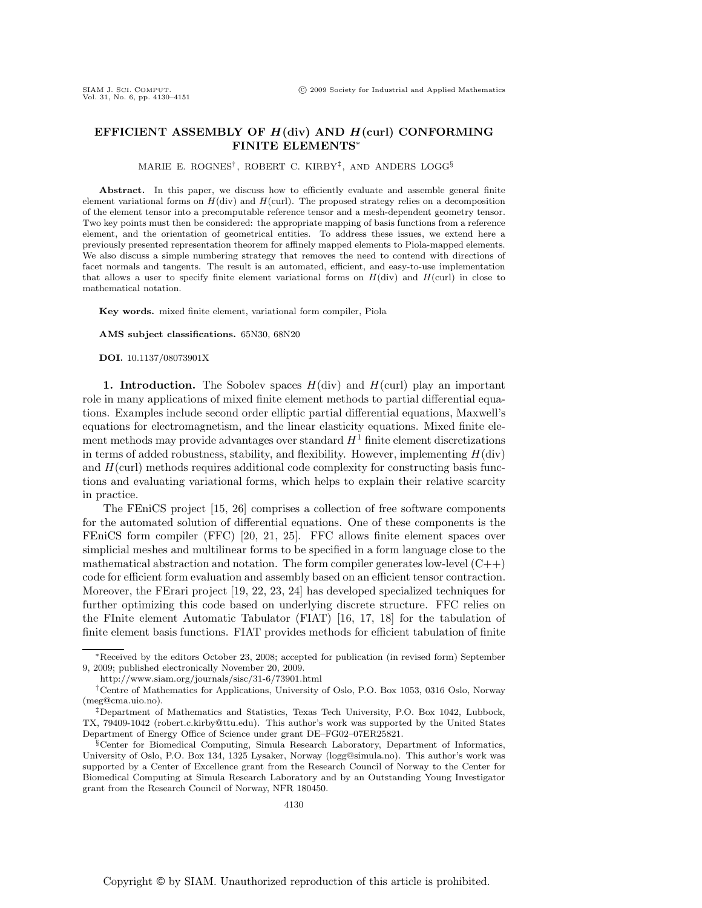# **EFFICIENT ASSEMBLY OF** *H***(div) AND** *H***(curl) CONFORMING FINITE ELEMENTS**∗

MARIE E. ROGNES† , ROBERT C. KIRBY‡, AND ANDERS LOGG§

Abstract. In this paper, we discuss how to efficiently evaluate and assemble general finite element variational forms on  $H(\text{div})$  and  $H(\text{curl})$ . The proposed strategy relies on a decomposition of the element tensor into a precomputable reference tensor and a mesh-dependent geometry tensor. Two key points must then be considered: the appropriate mapping of basis functions from a reference element, and the orientation of geometrical entities. To address these issues, we extend here a previously presented representation theorem for affinely mapped elements to Piola-mapped elements. We also discuss a simple numbering strategy that removes the need to contend with directions of facet normals and tangents. The result is an automated, efficient, and easy-to-use implementation that allows a user to specify finite element variational forms on  $H(\text{div})$  and  $H(\text{curl})$  in close to mathematical notation.

**Key words.** mixed finite element, variational form compiler, Piola

**AMS subject classifications.** 65N30, 68N20

**DOI.** 10.1137/08073901X

**1. Introduction.** The Sobolev spaces  $H(\text{div})$  and  $H(\text{curl})$  play an important role in many applications of mixed finite element methods to partial differential equations. Examples include second order elliptic partial differential equations, Maxwell's equations for electromagnetism, and the linear elasticity equations. Mixed finite element methods may provide advantages over standard  $H<sup>1</sup>$  finite element discretizations in terms of added robustness, stability, and flexibility. However, implementing  $H(\text{div})$ and  $H(\text{curl})$  methods requires additional code complexity for constructing basis functions and evaluating variational forms, which helps to explain their relative scarcity in practice.

The FEniCS project [15, 26] comprises a collection of free software components for the automated solution of differential equations. One of these components is the FEniCS form compiler (FFC) [20, 21, 25]. FFC allows finite element spaces over simplicial meshes and multilinear forms to be specified in a form language close to the mathematical abstraction and notation. The form compiler generates low-level  $(C++)$ code for efficient form evaluation and assembly based on an efficient tensor contraction. Moreover, the FErari project [19, 22, 23, 24] has developed specialized techniques for further optimizing this code based on underlying discrete structure. FFC relies on the FInite element Automatic Tabulator (FIAT) [16, 17, 18] for the tabulation of finite element basis functions. FIAT provides methods for efficient tabulation of finite

<sup>∗</sup>Received by the editors October 23, 2008; accepted for publication (in revised form) September 9, 2009; published electronically November 20, 2009.

http://www.siam.org/journals/sisc/31-6/73901.html

<sup>†</sup>Centre of Mathematics for Applications, University of Oslo, P.O. Box 1053, 0316 Oslo, Norway (meg@cma.uio.no).

<sup>‡</sup>Department of Mathematics and Statistics, Texas Tech University, P.O. Box 1042, Lubbock, TX, 79409-1042 (robert.c.kirby@ttu.edu). This author's work was supported by the United States Department of Energy Office of Science under grant DE–FG02–07ER25821.

<sup>§</sup>Center for Biomedical Computing, Simula Research Laboratory, Department of Informatics, University of Oslo, P.O. Box 134, 1325 Lysaker, Norway (logg@simula.no). This author's work was supported by a Center of Excellence grant from the Research Council of Norway to the Center for Biomedical Computing at Simula Research Laboratory and by an Outstanding Young Investigator grant from the Research Council of Norway, NFR 180450.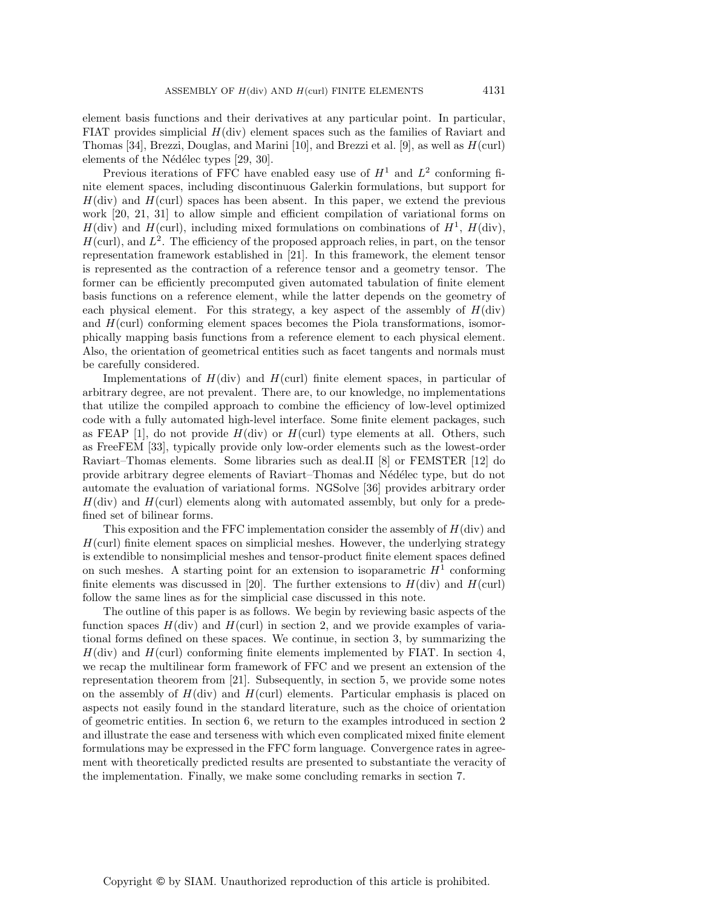element basis functions and their derivatives at any particular point. In particular, FIAT provides simplicial  $H(\text{div})$  element spaces such as the families of Raviart and Thomas [34], Brezzi, Douglas, and Marini [10], and Brezzi et al. [9], as well as  $H(\text{curl})$ elements of the Nédélec types  $[29, 30]$ .

Previous iterations of FFC have enabled easy use of  $H^1$  and  $L^2$  conforming finite element spaces, including discontinuous Galerkin formulations, but support for  $H$ (div) and  $H$ (curl) spaces has been absent. In this paper, we extend the previous work [20, 21, 31] to allow simple and efficient compilation of variational forms on  $H(\text{div})$  and  $H(\text{curl})$ , including mixed formulations on combinations of  $H^1$ ,  $H(\text{div})$ ,  $H(\text{curl})$ , and  $L^2$ . The efficiency of the proposed approach relies, in part, on the tensor representation framework established in [21]. In this framework, the element tensor is represented as the contraction of a reference tensor and a geometry tensor. The former can be efficiently precomputed given automated tabulation of finite element basis functions on a reference element, while the latter depends on the geometry of each physical element. For this strategy, a key aspect of the assembly of  $H(\text{div})$ and  $H(\text{curl})$  conforming element spaces becomes the Piola transformations, isomorphically mapping basis functions from a reference element to each physical element. Also, the orientation of geometrical entities such as facet tangents and normals must be carefully considered.

Implementations of  $H(\text{div})$  and  $H(\text{curl})$  finite element spaces, in particular of arbitrary degree, are not prevalent. There are, to our knowledge, no implementations that utilize the compiled approach to combine the efficiency of low-level optimized code with a fully automated high-level interface. Some finite element packages, such as FEAP [1], do not provide  $H(\text{div})$  or  $H(\text{curl})$  type elements at all. Others, such as FreeFEM [33], typically provide only low-order elements such as the lowest-order Raviart–Thomas elements. Some libraries such as deal.II [8] or FEMSTER [12] do provide arbitrary degree elements of Raviart–Thomas and N´ed´elec type, but do not automate the evaluation of variational forms. NGSolve [36] provides arbitrary order  $H(\text{div})$  and  $H(\text{curl})$  elements along with automated assembly, but only for a predefined set of bilinear forms.

This exposition and the FFC implementation consider the assembly of  $H(\text{div})$  and  $H$ (curl) finite element spaces on simplicial meshes. However, the underlying strategy is extendible to nonsimplicial meshes and tensor-product finite element spaces defined on such meshes. A starting point for an extension to isoparametric  $H<sup>1</sup>$  conforming finite elements was discussed in [20]. The further extensions to  $H(\text{div})$  and  $H(\text{curl})$ follow the same lines as for the simplicial case discussed in this note.

The outline of this paper is as follows. We begin by reviewing basic aspects of the function spaces  $H(\text{div})$  and  $H(\text{curl})$  in section 2, and we provide examples of variational forms defined on these spaces. We continue, in section 3, by summarizing the  $H(\text{div})$  and  $H(\text{curl})$  conforming finite elements implemented by FIAT. In section 4, we recap the multilinear form framework of FFC and we present an extension of the representation theorem from [21]. Subsequently, in section 5, we provide some notes on the assembly of  $H(\text{div})$  and  $H(\text{curl})$  elements. Particular emphasis is placed on aspects not easily found in the standard literature, such as the choice of orientation of geometric entities. In section 6, we return to the examples introduced in section 2 and illustrate the ease and terseness with which even complicated mixed finite element formulations may be expressed in the FFC form language. Convergence rates in agreement with theoretically predicted results are presented to substantiate the veracity of the implementation. Finally, we make some concluding remarks in section 7.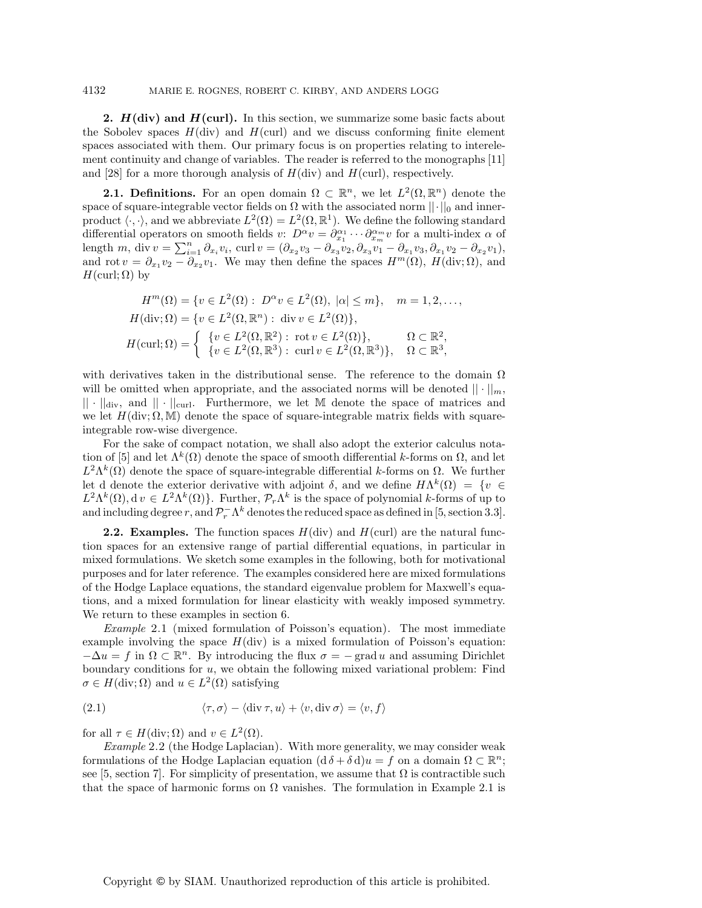**2.** *H***(div) and** *H***(curl).** In this section, we summarize some basic facts about the Sobolev spaces  $H(\text{div})$  and  $H(\text{curl})$  and we discuss conforming finite element spaces associated with them. Our primary focus is on properties relating to interelement continuity and change of variables. The reader is referred to the monographs [11] and [28] for a more thorough analysis of  $H(\text{div})$  and  $H(\text{curl})$ , respectively.

**2.1. Definitions.** For an open domain  $\Omega \subset \mathbb{R}^n$ , we let  $L^2(\Omega, \mathbb{R}^n)$  denote the space of square-integrable vector fields on  $\Omega$  with the associated norm  $||\cdot||_0$  and innerproduct  $\langle \cdot, \cdot \rangle$ , and we abbreviate  $L^2(\Omega) = L^2(\Omega, \mathbb{R}^1)$ . We define the following standard differential operators on smooth fields  $v: D^{\alpha}v = \partial_{x_1}^{\alpha_1} \cdots \partial_{x_m}^{\alpha_m} v$  for a multi-index  $\alpha$  of length m, div  $v = \sum_{i=1}^n \partial_{x_i} v_i$ , curl  $v = (\partial_{x_2} v_3 - \partial_{x_3} v_2, \partial_{x_3} v_1 - \partial_{x_1} v_3, \partial_{x_1} v_2 - \partial_{x_2} v_1)$ , and rot  $v = \partial_{x_1} v_2 - \partial_{x_2} v_1$ . We may then define the spaces  $H^m(\Omega)$ ,  $H(\text{div}; \Omega)$ , and  $H(\text{curl}; \Omega)$  by

$$
H^m(\Omega) = \{v \in L^2(\Omega) : D^{\alpha}v \in L^2(\Omega), |\alpha| \le m\}, \quad m = 1, 2, \dots,
$$
  
\n
$$
H(\text{div}; \Omega) = \{v \in L^2(\Omega, \mathbb{R}^n) : \text{div } v \in L^2(\Omega)\},
$$
  
\n
$$
H(\text{curl}; \Omega) = \begin{cases} \{v \in L^2(\Omega, \mathbb{R}^2) : \text{rot } v \in L^2(\Omega)\}, & \Omega \subset \mathbb{R}^2, \\ \{v \in L^2(\Omega, \mathbb{R}^3) : \text{curl } v \in L^2(\Omega, \mathbb{R}^3)\}, & \Omega \subset \mathbb{R}^3, \end{cases}
$$

with derivatives taken in the distributional sense. The reference to the domain  $\Omega$ will be omitted when appropriate, and the associated norms will be denoted  $|| \cdot ||_m$ ,  $|| \cdot ||_{div}$ , and  $|| \cdot ||_{curl}$ . Furthermore, we let M denote the space of matrices and we let  $H(\text{div}; \Omega, M)$  denote the space of square-integrable matrix fields with squareintegrable row-wise divergence.

For the sake of compact notation, we shall also adopt the exterior calculus notation of [5] and let  $\Lambda^k(\Omega)$  denote the space of smooth differential k-forms on  $\Omega$ , and let  $L^2\Lambda^k(\Omega)$  denote the space of square-integrable differential k-forms on  $\Omega$ . We further let d denote the exterior derivative with adjoint  $\delta$ , and we define  $H\Lambda^k(\Omega) = \{v \in$  $L^2\Lambda^k(\Omega)$ ,  $d\,v \in L^2\Lambda^k(\Omega)$ . Further,  $\mathcal{P}_r\Lambda^k$  is the space of polynomial k-forms of up to and including degree r, and  $\mathcal{P}_r^- \Lambda^k$  denotes the reduced space as defined in [5, section 3.3].

**2.2. Examples.** The function spaces  $H(\text{div})$  and  $H(\text{curl})$  are the natural function spaces for an extensive range of partial differential equations, in particular in mixed formulations. We sketch some examples in the following, both for motivational purposes and for later reference. The examples considered here are mixed formulations of the Hodge Laplace equations, the standard eigenvalue problem for Maxwell's equations, and a mixed formulation for linear elasticity with weakly imposed symmetry. We return to these examples in section 6.

*Example* 2.1 (mixed formulation of Poisson's equation). The most immediate example involving the space  $H(\text{div})$  is a mixed formulation of Poisson's equation:  $-\Delta u = f$  in  $\Omega \subset \mathbb{R}^n$ . By introducing the flux  $\sigma = -\text{grad } u$  and assuming Dirichlet boundary conditions for u, we obtain the following mixed variational problem: Find  $\sigma \in H(\text{div}; \Omega)$  and  $u \in L^2(\Omega)$  satisfying

(2.1) 
$$
\langle \tau, \sigma \rangle - \langle \operatorname{div} \tau, u \rangle + \langle v, \operatorname{div} \sigma \rangle = \langle v, f \rangle
$$

for all  $\tau \in H(\text{div}; \Omega)$  and  $v \in L^2(\Omega)$ .

*Example* 2.2 (the Hodge Laplacian). With more generality, we may consider weak formulations of the Hodge Laplacian equation  $(d \delta + \delta d)u = f$  on a domain  $\Omega \subset \mathbb{R}^n$ ; see [5, section 7]. For simplicity of presentation, we assume that  $\Omega$  is contractible such that the space of harmonic forms on  $\Omega$  vanishes. The formulation in Example 2.1 is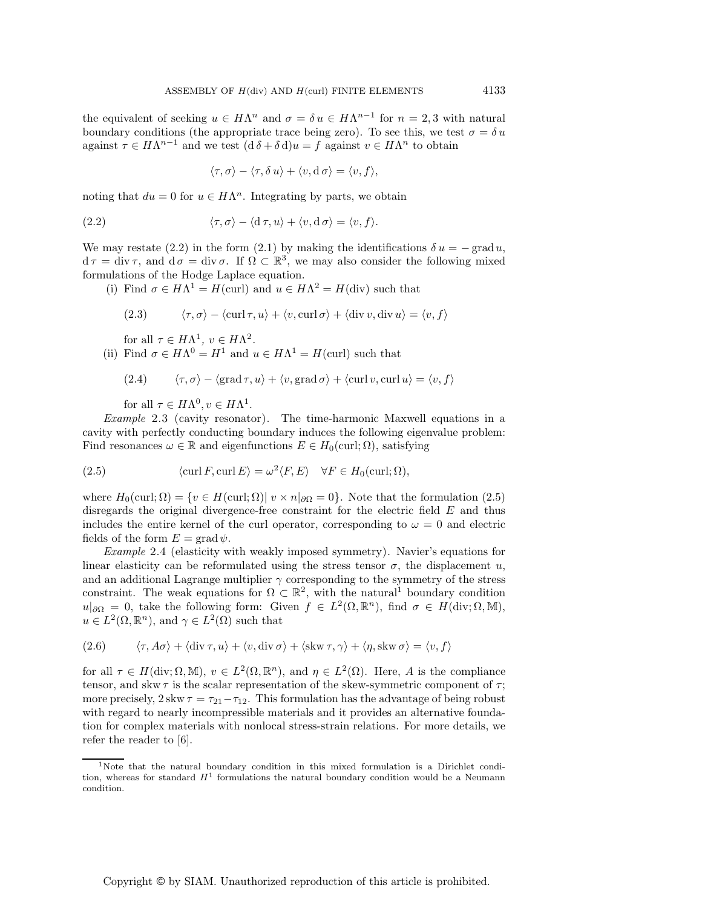the equivalent of seeking  $u \in H\Lambda^n$  and  $\sigma = \delta u \in H\Lambda^{n-1}$  for  $n = 2, 3$  with natural boundary conditions (the appropriate trace being zero). To see this, we test  $\sigma = \delta u$ against  $\tau \in H\Lambda^{n-1}$  and we test  $(d \delta + \delta d)u = f$  against  $v \in H\Lambda^n$  to obtain

$$
\langle \tau, \sigma \rangle - \langle \tau, \delta u \rangle + \langle v, d \sigma \rangle = \langle v, f \rangle,
$$

noting that  $du = 0$  for  $u \in H\Lambda^n$ . Integrating by parts, we obtain

(2.2) 
$$
\langle \tau, \sigma \rangle - \langle \mathrm{d}\,\tau, u \rangle + \langle v, \mathrm{d}\,\sigma \rangle = \langle v, f \rangle.
$$

We may restate (2.2) in the form (2.1) by making the identifications  $\delta u = -\text{grad} u$ .  $d\tau = \text{div}\,\tau$ , and  $d\sigma = \text{div}\,\sigma$ . If  $\Omega \subset \mathbb{R}^3$ , we may also consider the following mixed formulations of the Hodge Laplace equation.

(i) Find  $\sigma \in H\Lambda^1 = H(\text{curl})$  and  $u \in H\Lambda^2 = H(\text{div})$  such that

(2.3) 
$$
\langle \tau, \sigma \rangle - \langle \operatorname{curl} \tau, u \rangle + \langle v, \operatorname{curl} \sigma \rangle + \langle \operatorname{div} v, \operatorname{div} u \rangle = \langle v, f \rangle
$$

for all  $\tau \in H\Lambda^1$ ,  $v \in H\Lambda^2$ .

(ii) Find  $\sigma \in H\Lambda^0 = H^1$  and  $u \in H\Lambda^1 = H(\text{curl})$  such that

(2.4) 
$$
\langle \tau, \sigma \rangle - \langle \text{grad } \tau, u \rangle + \langle v, \text{grad } \sigma \rangle + \langle \text{curl } v, \text{curl } u \rangle = \langle v, f \rangle
$$

for all  $\tau \in H\Lambda^0, v \in H\Lambda^1$ .

*Example* 2.3 (cavity resonator). The time-harmonic Maxwell equations in a cavity with perfectly conducting boundary induces the following eigenvalue problem: Find resonances  $\omega \in \mathbb{R}$  and eigenfunctions  $E \in H_0(\text{curl}; \Omega)$ , satisfying

(2.5) 
$$
\langle \operatorname{curl} F, \operatorname{curl} E \rangle = \omega^2 \langle F, E \rangle \quad \forall F \in H_0(\operatorname{curl}; \Omega),
$$

where  $H_0(\text{curl}; \Omega) = \{v \in H(\text{curl}; \Omega) | v \times n |_{\partial \Omega} = 0\}$ . Note that the formulation (2.5) disregards the original divergence-free constraint for the electric field  $E$  and thus includes the entire kernel of the curl operator, corresponding to  $\omega = 0$  and electric fields of the form  $E = \text{grad }\psi$ .

*Example* 2.4 (elasticity with weakly imposed symmetry). Navier's equations for linear elasticity can be reformulated using the stress tensor  $\sigma$ , the displacement u, and an additional Lagrange multiplier  $\gamma$  corresponding to the symmetry of the stress constraint. The weak equations for  $\Omega \subset \mathbb{R}^2$ , with the natural<sup>1</sup> boundary condition  $u|_{\partial\Omega} = 0$ , take the following form: Given  $f \in L^2(\Omega, \mathbb{R}^n)$ , find  $\sigma \in H(\text{div}; \Omega, \mathbb{M})$ ,  $u \in L^2(\Omega, \mathbb{R}^n)$ , and  $\gamma \in L^2(\Omega)$  such that

(2.6) 
$$
\langle \tau, A\sigma \rangle + \langle \operatorname{div} \tau, u \rangle + \langle v, \operatorname{div} \sigma \rangle + \langle \operatorname{skw} \tau, \gamma \rangle + \langle \eta, \operatorname{skw} \sigma \rangle = \langle v, f \rangle
$$

for all  $\tau \in H(\text{div}; \Omega, \mathbb{M})$ ,  $v \in L^2(\Omega, \mathbb{R}^n)$ , and  $\eta \in L^2(\Omega)$ . Here, A is the compliance tensor, and skw  $\tau$  is the scalar representation of the skew-symmetric component of  $\tau$ ; more precisely,  $2 \text{skw } \tau = \tau_{21} - \tau_{12}$ . This formulation has the advantage of being robust with regard to nearly incompressible materials and it provides an alternative foundation for complex materials with nonlocal stress-strain relations. For more details, we refer the reader to [6].

<sup>&</sup>lt;sup>1</sup>Note that the natural boundary condition in this mixed formulation is a Dirichlet condition, whereas for standard  $H<sup>1</sup>$  formulations the natural boundary condition would be a Neumann condition.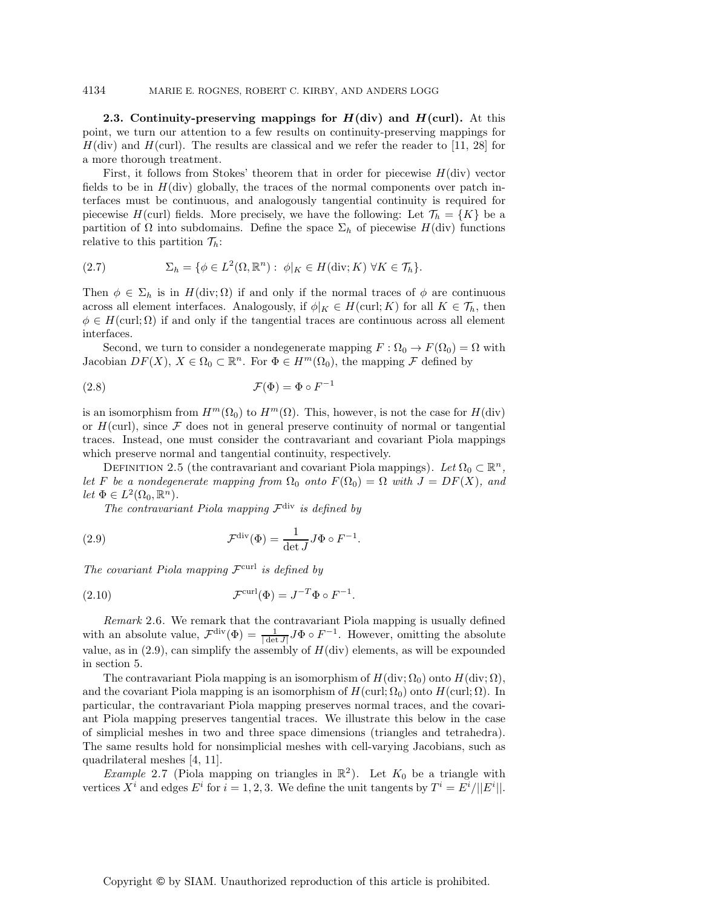**2.3. Continuity-preserving mappings for**  $H$ **<b>(div)** and  $H$ **(curl).** At this point, we turn our attention to a few results on continuity-preserving mappings for  $H(\text{div})$  and  $H(\text{curl})$ . The results are classical and we refer the reader to [11, 28] for a more thorough treatment.

First, it follows from Stokes' theorem that in order for piecewise  $H(\text{div})$  vector fields to be in  $H(\text{div})$  globally, the traces of the normal components over patch interfaces must be continuous, and analogously tangential continuity is required for piecewise H(curl) fields. More precisely, we have the following: Let  $\mathcal{T}_h = \{K\}$  be a partition of  $\Omega$  into subdomains. Define the space  $\Sigma_h$  of piecewise  $H(\text{div})$  functions relative to this partition  $\mathcal{T}_h$ :

(2.7) 
$$
\Sigma_h = \{ \phi \in L^2(\Omega, \mathbb{R}^n) : \phi|_K \in H(\text{div}; K) \ \forall K \in \mathcal{T}_h \}.
$$

Then  $\phi \in \Sigma_h$  is in  $H(\text{div}; \Omega)$  if and only if the normal traces of  $\phi$  are continuous across all element interfaces. Analogously, if  $\phi|_K \in H(\text{curl}; K)$  for all  $K \in \mathcal{T}_h$ , then  $\phi \in H(\text{curl}; \Omega)$  if and only if the tangential traces are continuous across all element interfaces.

Second, we turn to consider a nondegenerate mapping  $F : \Omega_0 \to F(\Omega_0) = \Omega$  with Jacobian  $DF(X)$ ,  $X \in \Omega_0 \subset \mathbb{R}^n$ . For  $\Phi \in H^m(\Omega_0)$ , the mapping  $\mathcal F$  defined by

(2.8) 
$$
\mathcal{F}(\Phi) = \Phi \circ F^{-1}
$$

is an isomorphism from  $H^m(\Omega_0)$  to  $H^m(\Omega)$ . This, however, is not the case for  $H(\text{div})$ or  $H(\text{curl})$ , since  $\mathcal F$  does not in general preserve continuity of normal or tangential traces. Instead, one must consider the contravariant and covariant Piola mappings which preserve normal and tangential continuity, respectively.

DEFINITION 2.5 (the contravariant and covariant Piola mappings). Let  $\Omega_0 \subset \mathbb{R}^n$ , *let* F *be a nondegenerate mapping from*  $\Omega_0$  *onto*  $F(\Omega_0) = \Omega$  *with*  $J = DF(X)$ *, and let*  $\Phi \in L^2(\Omega_0, \mathbb{R}^n)$ *.* 

*The contravariant Piola mapping*  $\mathcal{F}^{\text{div}}$  *is defined by* 

(2.9) 
$$
\mathcal{F}^{\text{div}}(\Phi) = \frac{1}{\det J} J \Phi \circ F^{-1}.
$$

*The covariant Piola mapping* Fcurl *is defined by*

(2.10) 
$$
\mathcal{F}^{\text{curl}}(\Phi) = J^{-T} \Phi \circ F^{-1}.
$$

*Remark* 2.6. We remark that the contravariant Piola mapping is usually defined with an absolute value,  $\mathcal{F}^{\text{div}}(\Phi) = \frac{1}{|\det J|} J\Phi \circ F^{-1}$ . However, omitting the absolute value, as in  $(2.9)$ , can simplify the assembly of  $H(\text{div})$  elements, as will be expounded in section 5.

The contravariant Piola mapping is an isomorphism of  $H(\text{div}; \Omega_0)$  onto  $H(\text{div}; \Omega)$ , and the covariant Piola mapping is an isomorphism of  $H(\text{curl}; \Omega_0)$  onto  $H(\text{curl}; \Omega)$ . In particular, the contravariant Piola mapping preserves normal traces, and the covariant Piola mapping preserves tangential traces. We illustrate this below in the case of simplicial meshes in two and three space dimensions (triangles and tetrahedra). The same results hold for nonsimplicial meshes with cell-varying Jacobians, such as quadrilateral meshes [4, 11].

*Example* 2.7 (Piola mapping on triangles in  $\mathbb{R}^2$ ). Let  $K_0$  be a triangle with vertices  $X^i$  and edges  $E^i$  for  $i = 1, 2, 3$ . We define the unit tangents by  $T^i = E^i/||E^i||$ .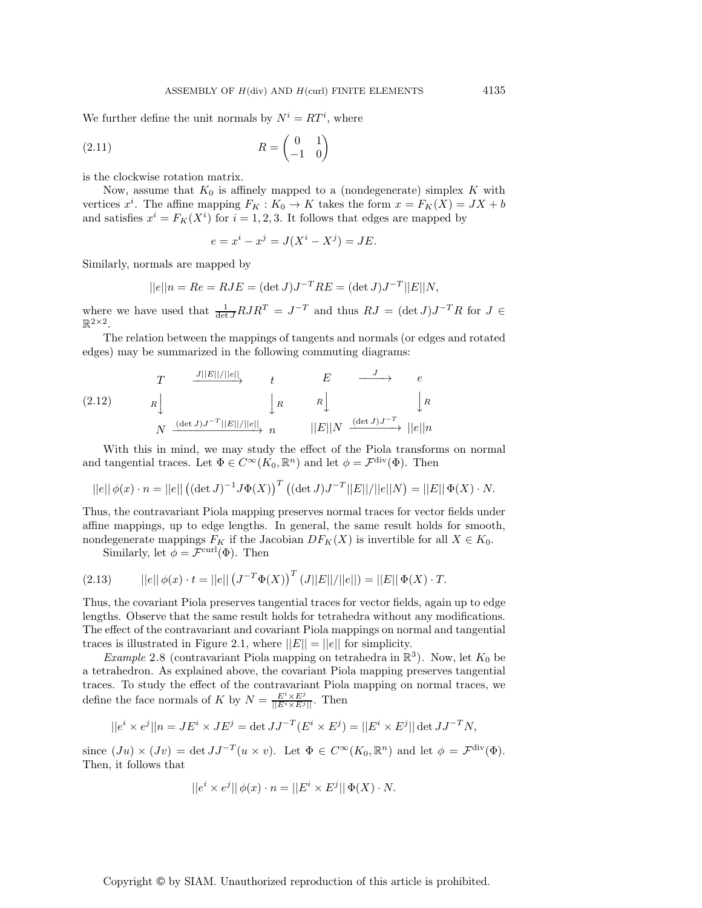We further define the unit normals by  $N^i = RT^i$ , where

$$
(2.11)\qquad R = \begin{pmatrix} 0 & 1 \\ -1 & 0 \end{pmatrix}
$$

is the clockwise rotation matrix.

Now, assume that  $K_0$  is affinely mapped to a (nondegenerate) simplex K with vertices  $x^i$ . The affine mapping  $F_K: K_0 \to K$  takes the form  $x = F_K(X) = JX + b$ and satisfies  $x^i = F_K(X^i)$  for  $i = 1, 2, 3$ . It follows that edges are mapped by

$$
e = x^i - x^j = J(X^i - X^j) = JE.
$$

Similarly, normals are mapped by

$$
||e||n = Re = RJE = (\det J)J^{-T}RE = (\det J)J^{-T}||E||N,
$$

where we have used that  $\frac{1}{\det J}RJR^T = J^{-T}$  and thus  $RJ = (\det J)J^{-T}R$  for  $J \in$  $\mathbb{R}^{2\times 2}$ .

The relation between the mappings of tangents and normals (or edges and rotated edges) may be summarized in the following commuting diagrams:

(2.12) 
$$
T \xrightarrow{J||E||/||e||} t \xrightarrow{E} \xrightarrow{J} e
$$

$$
R \downarrow R \downarrow R \downarrow R
$$

$$
N \xrightarrow{(\det J)J^{-T}||E||/||e||} n \qquad ||E||N \xrightarrow{(\det J)J^{-T}} ||e||n
$$

With this in mind, we may study the effect of the Piola transforms on normal and tangential traces. Let  $\Phi \in C^{\infty}(K_0, \mathbb{R}^n)$  and let  $\phi = \mathcal{F}^{\text{div}}(\Phi)$ . Then

$$
||e|| \phi(x) \cdot n = ||e|| ((\det J)^{-1} J \Phi(X))^{T} ((\det J) J^{-T} ||E|| / ||e|| N) = ||E|| \Phi(X) \cdot N.
$$

Thus, the contravariant Piola mapping preserves normal traces for vector fields under affine mappings, up to edge lengths. In general, the same result holds for smooth, nondegenerate mappings  $F_K$  if the Jacobian  $DF_K(X)$  is invertible for all  $X \in K_0$ .

Similarly, let  $\phi = \mathcal{F}^{\text{curl}}(\Phi)$ . Then

(2.13) 
$$
||e|| \phi(x) \cdot t = ||e|| (J^{-T} \Phi(X))^{T} (J||E||/||e||) = ||E|| \Phi(X) \cdot T.
$$

Thus, the covariant Piola preserves tangential traces for vector fields, again up to edge lengths. Observe that the same result holds for tetrahedra without any modifications. The effect of the contravariant and covariant Piola mappings on normal and tangential traces is illustrated in Figure 2.1, where  $||E|| = ||e||$  for simplicity.

*Example* 2.8 (contravariant Piola mapping on tetrahedra in  $\mathbb{R}^3$ ). Now, let  $K_0$  be a tetrahedron. As explained above, the covariant Piola mapping preserves tangential traces. To study the effect of the contravariant Piola mapping on normal traces, we define the face normals of K by  $N = \frac{E^i \times E^j}{\vert [E^i \times E^j] \vert}$ . Then

$$
||e^i \times e^j||n = JE^i \times JE^j = \det JJ^{-T}(E^i \times E^j) = ||E^i \times E^j|| \det JJ^{-T}N,
$$

since  $(Ju) \times (Jv) = \det JJ^{-T}(u \times v)$ . Let  $\Phi \in C^{\infty}(K_0, \mathbb{R}^n)$  and let  $\phi = \mathcal{F}^{\text{div}}(\Phi)$ . Then, it follows that

$$
||e^i\times e^j||\,\phi(x)\cdot n=||E^i\times E^j||\,\Phi(X)\cdot N.
$$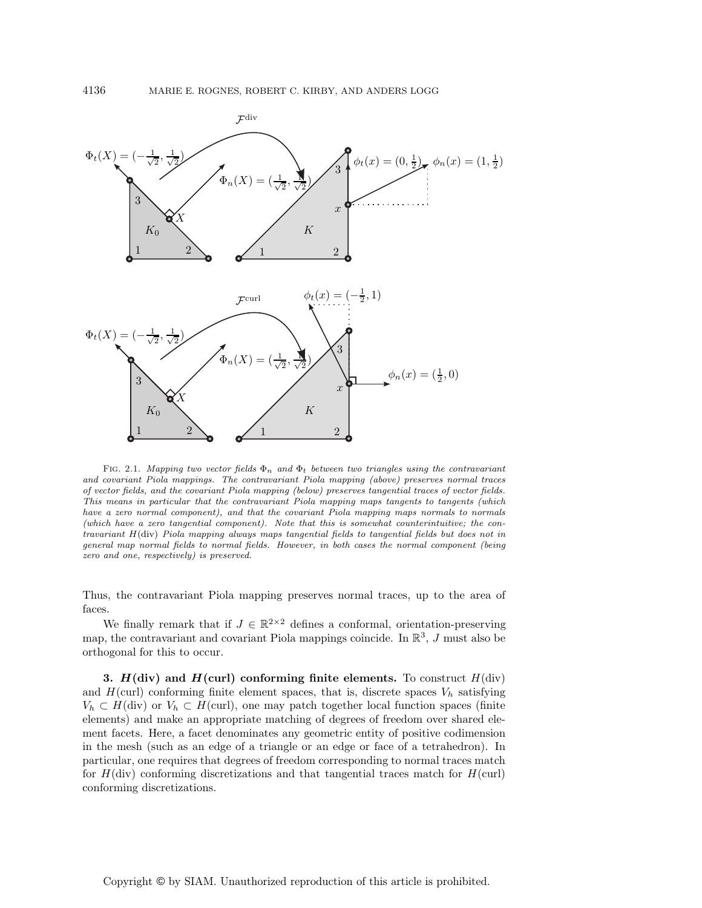

FIG. 2.1. Mapping two vector fields  $\Phi_n$  and  $\Phi_t$  between two triangles using the contravariant and covariant Piola mappings. The contravariant Piola mapping (above) preserves normal traces of vector fields, and the covariant Piola mapping (below) preserves tangential traces of vector fields. This means in particular that the contravariant Piola mapping maps tangents to tangents (which have a zero normal component), and that the covariant Piola mapping maps normals to normals (which have a zero tangential component). Note that this is somewhat counterintuitive; the contravariant H(div) Piola mapping always maps tangential fields to tangential fields but does not in general map normal fields to normal fields. However, in both cases the normal component (being zero and one, respectively) is preserved.

Thus, the contravariant Piola mapping preserves normal traces, up to the area of faces.

We finally remark that if  $J \in \mathbb{R}^{2 \times 2}$  defines a conformal, orientation-preserving map, the contravariant and covariant Piola mappings coincide. In  $\mathbb{R}^3$ , J must also be orthogonal for this to occur.

**3.**  $H$ **(div)** and  $H$ **(curl)** conforming finite elements. To construct  $H$ **(div)** and  $H(\text{curl})$  conforming finite element spaces, that is, discrete spaces  $V_h$  satisfying  $V_h \subset H(\text{div})$  or  $V_h \subset H(\text{curl})$ , one may patch together local function spaces (finite elements) and make an appropriate matching of degrees of freedom over shared element facets. Here, a facet denominates any geometric entity of positive codimension in the mesh (such as an edge of a triangle or an edge or face of a tetrahedron). In particular, one requires that degrees of freedom corresponding to normal traces match for  $H(\text{div})$  conforming discretizations and that tangential traces match for  $H(\text{curl})$ conforming discretizations.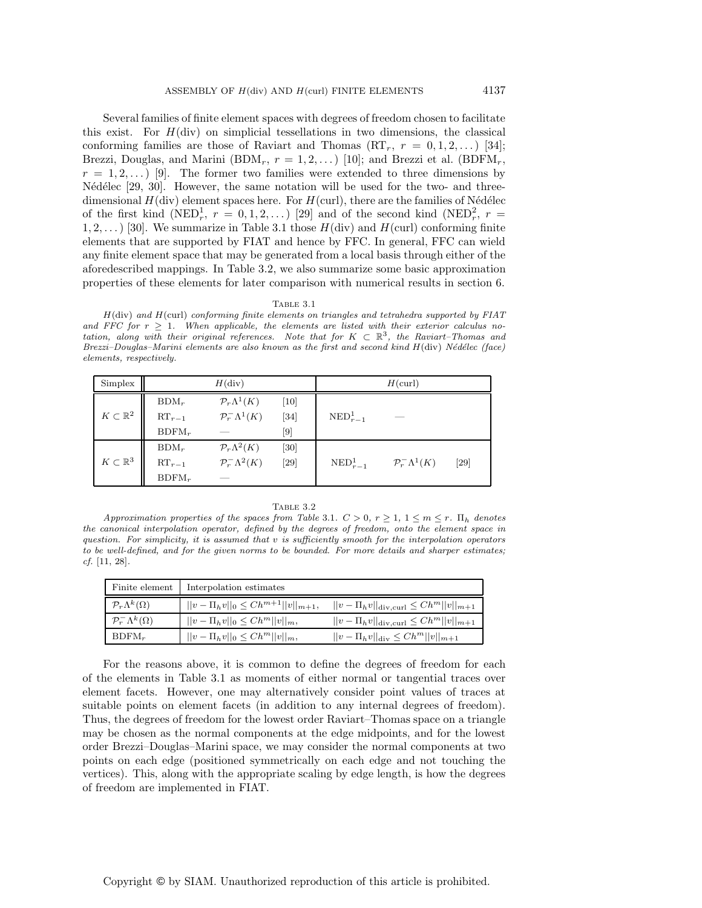Several families of finite element spaces with degrees of freedom chosen to facilitate this exist. For  $H(\text{div})$  on simplicial tessellations in two dimensions, the classical conforming families are those of Raviart and Thomas  $(RT_r, r = 0, 1, 2, ...)$  [34]; Brezzi, Douglas, and Marini (BDM<sub>r</sub>,  $r = 1, 2, \ldots$ ) [10]; and Brezzi et al. (BDFM<sub>r</sub>,  $r = 1, 2, \ldots$  [9]. The former two families were extended to three dimensions by Nédélec  $[29, 30]$ . However, the same notation will be used for the two- and threedimensional  $H(\text{div})$  element spaces here. For  $H(\text{curl})$ , there are the families of Nédélec of the first kind (NED<sub>r</sub>,  $r = 0, 1, 2, ...$ ) [29] and of the second kind (NED<sub>r</sub><sup>2</sup>,  $r =$  $1, 2, \ldots$  [30]. We summarize in Table 3.1 those  $H(\text{div})$  and  $H(\text{curl})$  conforming finite elements that are supported by FIAT and hence by FFC. In general, FFC can wield any finite element space that may be generated from a local basis through either of the aforedescribed mappings. In Table 3.2, we also summarize some basic approximation properties of these elements for later comparison with numerical results in section 6.

### Table 3.1

 $H(\text{div})$  and  $H(\text{curl})$  conforming finite elements on triangles and tetrahedra supported by FIAT and FFC for  $r \geq 1$ . When applicable, the elements are listed with their exterior calculus notation, along with their original references. Note that for  $K \subset \mathbb{R}^3$ , the Raviart-Thomas and Brezzi–Douglas–Marini elements are also known as the first and second kind  $H(\text{div})$  Nédélec (face) elements, respectively.

| Simplex                 | $H(\text{div})$ |                               |                              | $H$ (curl)             |                               |        |
|-------------------------|-----------------|-------------------------------|------------------------------|------------------------|-------------------------------|--------|
|                         | $BDM_r$         | $\mathcal{P}_r\Lambda^1(K)$   | [10]                         |                        |                               |        |
| $K\subset \mathbb{R}^2$ | $RT_{r-1}$      | $\mathcal{P}_r^-\Lambda^1(K)$ | $[34]$                       | $\mathrm{NED}_{r-1}^1$ |                               |        |
|                         | $BDFM_r$        |                               | $\left\lceil 9 \right\rceil$ |                        |                               |        |
|                         | $BDM_r$         | $\mathcal{P}_r\Lambda^2(K)$   | [30]                         |                        |                               |        |
| $K\subset\mathbb{R}^3$  | $RT_{r-1}$      | $\mathcal{P}_r^-\Lambda^2(K)$ | $[29]$                       | $\mathrm{NED}_{r-1}^1$ | $\mathcal{P}_r^-\Lambda^1(K)$ | $[29]$ |
|                         | $BDFM_r$        |                               |                              |                        |                               |        |

### Table 3.2

Approximation properties of the spaces from Table 3.1.  $C > 0$ ,  $r \geq 1$ ,  $1 \leq m \leq r$ .  $\Pi_h$  denotes the canonical interpolation operator, defined by the degrees of freedom, onto the element space in question. For simplicity, it is assumed that v is sufficiently smooth for the interpolation operators to be well-defined, and for the given norms to be bounded. For more details and sharper estimates; cf. [11, 28].

| Finite element                        | Interpolation estimates                         |                                                             |
|---------------------------------------|-------------------------------------------------|-------------------------------------------------------------|
| $\mathcal{P}_{r}\Lambda^{k}(\Omega)$  | $  v - \Pi_h v  _0 \leq C h^{m+1}   v  _{m+1},$ | $  v - \Pi_h v  _{\text{div, curl}} \leq C h^m   v  _{m+1}$ |
| $\mathcal{P}_r^{-} \Lambda^k(\Omega)$ | $  v - \Pi_h v  _0 \leq C h^m   v  _m,$         | $  v - \Pi_h v  _{\text{div, curl}} \leq C h^m   v  _{m+1}$ |
| $BDFM_r$                              | $  v - \Pi_h v  _0 \leq C h^m   v  _m,$         | $  v - \Pi_h v  _{\text{div}} \leq C h^m   v  _{m+1}$       |

For the reasons above, it is common to define the degrees of freedom for each of the elements in Table 3.1 as moments of either normal or tangential traces over element facets. However, one may alternatively consider point values of traces at suitable points on element facets (in addition to any internal degrees of freedom). Thus, the degrees of freedom for the lowest order Raviart–Thomas space on a triangle may be chosen as the normal components at the edge midpoints, and for the lowest order Brezzi–Douglas–Marini space, we may consider the normal components at two points on each edge (positioned symmetrically on each edge and not touching the vertices). This, along with the appropriate scaling by edge length, is how the degrees of freedom are implemented in FIAT.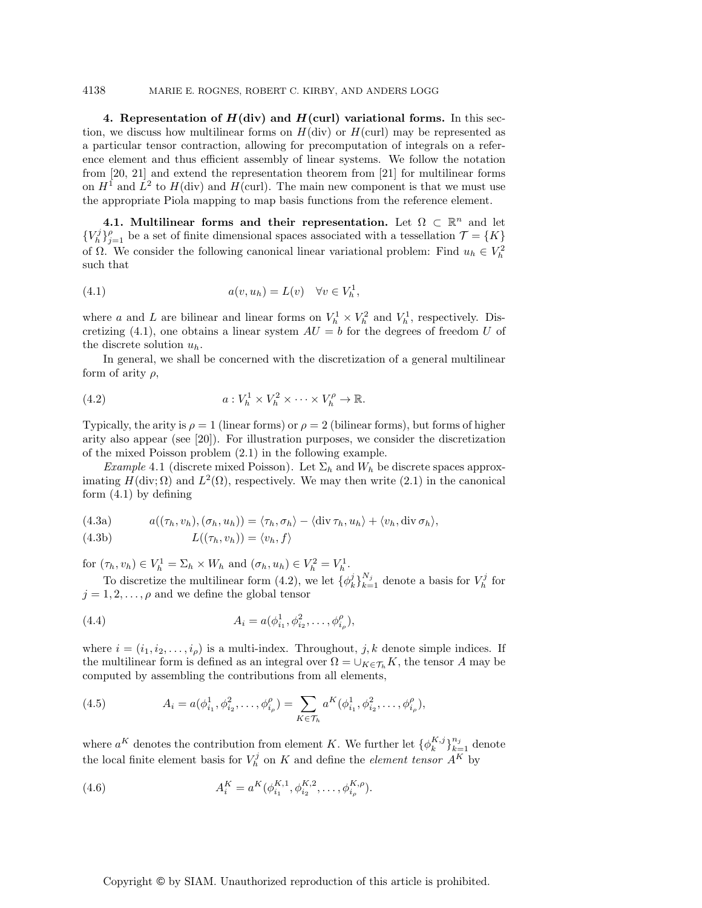## 4138 MARIE E. ROGNES, ROBERT C. KIRBY, AND ANDERS LOGG

**4. Representation of**  $H$ **(div) and**  $H$ **(curl) variational forms.** In this section, we discuss how multilinear forms on  $H(\text{div})$  or  $H(\text{curl})$  may be represented as a particular tensor contraction, allowing for precomputation of integrals on a reference element and thus efficient assembly of linear systems. We follow the notation from [20, 21] and extend the representation theorem from [21] for multilinear forms on  $H<sup>1</sup>$  and  $L<sup>2</sup>$  to  $H$ (div) and  $H$ (curl). The main new component is that we must use the appropriate Piola mapping to map basis functions from the reference element.

**4.1. Multilinear forms and their representation.** Let  $\Omega \subset \mathbb{R}^n$  and let  ${V_h^j}_{j=1}^{\rho}$  be a set of finite dimensional spaces associated with a tessellation  $\mathcal{T} = \{K\}$ of Ω. We consider the following canonical linear variational problem: Find  $u_h \in V_h^2$ such that

(4.1) 
$$
a(v, u_h) = L(v) \quad \forall v \in V_h^1,
$$

where a and L are bilinear and linear forms on  $V_h^1 \times V_h^2$  and  $V_h^1$ , respectively. Discretizing (4.1), one obtains a linear system  $AU = b$  for the degrees of freedom U of the discrete solution  $u_h$ .

In general, we shall be concerned with the discretization of a general multilinear form of arity  $\rho$ ,

(4.2) 
$$
a: V_h^1 \times V_h^2 \times \cdots \times V_h^{\rho} \to \mathbb{R}.
$$

Typically, the arity is  $\rho = 1$  (linear forms) or  $\rho = 2$  (bilinear forms), but forms of higher arity also appear (see [20]). For illustration purposes, we consider the discretization of the mixed Poisson problem (2.1) in the following example.

*Example* 4.1 (discrete mixed Poisson). Let  $\Sigma_h$  and  $W_h$  be discrete spaces approximating  $H(\text{div}; \Omega)$  and  $L^2(\Omega)$ , respectively. We may then write (2.1) in the canonical form (4.1) by defining

(4.3a) 
$$
a((\tau_h, v_h), (\sigma_h, u_h)) = \langle \tau_h, \sigma_h \rangle - \langle \text{div } \tau_h, u_h \rangle + \langle v_h, \text{div } \sigma_h \rangle,
$$

(4.3b) 
$$
L((\tau_h, v_h)) = \langle v_h, f \rangle
$$

for  $(\tau_h, v_h) \in V_h^1 = \Sigma_h \times W_h$  and  $(\sigma_h, u_h) \in V_h^2 = V_h^1$ .

To discretize the multilinear form (4.2), we let  $\{\phi_k^j\}_{k=1}^{N_j}$  denote a basis for  $V_h^j$  for  $j = 1, 2, \ldots, \rho$  and we define the global tensor

(4.4) 
$$
A_i = a(\phi_{i_1}^1, \phi_{i_2}^2, \dots, \phi_{i_\rho}^\rho),
$$

where  $i = (i_1, i_2, \ldots, i_\rho)$  is a multi-index. Throughout, j, k denote simple indices. If the multilinear form is defined as an integral over  $\Omega = \bigcup_{K \in \mathcal{T}_h} K$ , the tensor A may be computed by assembling the contributions from all elements,

(4.5) 
$$
A_i = a(\phi_{i_1}^1, \phi_{i_2}^2, \dots, \phi_{i_\rho}^\rho) = \sum_{K \in \mathcal{T}_h} a^K(\phi_{i_1}^1, \phi_{i_2}^2, \dots, \phi_{i_\rho}^\rho),
$$

where  $a^K$  denotes the contribution from element K. We further let  $\{\phi_k^{K,j}\}_{k=1}^{n_j}$  denote the local finite element basis for  $V_h^j$  on K and define the *element tensor*  $A_K^{K}$  by

(4.6) 
$$
A_i^K = a^K(\phi_{i_1}^{K,1}, \phi_{i_2}^{K,2}, \dots, \phi_{i_\rho}^{K,\rho}).
$$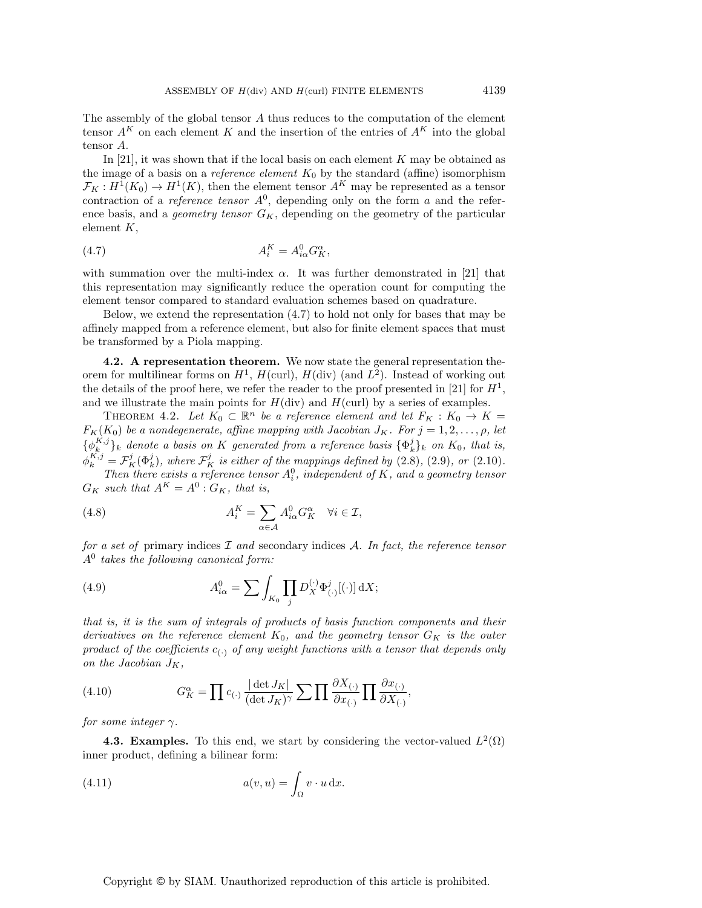The assembly of the global tensor A thus reduces to the computation of the element tensor  $A^K$  on each element K and the insertion of the entries of  $A^K$  into the global tensor A.

In [21], it was shown that if the local basis on each element  $K$  may be obtained as the image of a basis on a *reference element*  $K_0$  by the standard (affine) isomorphism  $\mathcal{F}_K : H^1(K_0) \to H^1(K)$ , then the element tensor  $A^K$  may be represented as a tensor contraction of a *reference tensor*  $A^0$ , depending only on the form a and the reference basis, and a *geometry tensor*  $G_K$ , depending on the geometry of the particular element  $K$ ,

$$
(4.7) \t\t A_i^K = A_{i\alpha}^0 G_K^{\alpha},
$$

with summation over the multi-index  $\alpha$ . It was further demonstrated in [21] that this representation may significantly reduce the operation count for computing the element tensor compared to standard evaluation schemes based on quadrature.

Below, we extend the representation (4.7) to hold not only for bases that may be affinely mapped from a reference element, but also for finite element spaces that must be transformed by a Piola mapping.

**4.2. A representation theorem.** We now state the general representation theorem for multilinear forms on  $H^1$ ,  $H(\text{curl})$ ,  $H(\text{div})$  (and  $L^2$ ). Instead of working out the details of the proof here, we refer the reader to the proof presented in [21] for  $H<sup>1</sup>$ , and we illustrate the main points for  $H(\text{div})$  and  $H(\text{curl})$  by a series of examples.

THEOREM 4.2. Let  $K_0 \subset \mathbb{R}^n$  be a reference element and let  $F_K : K_0 \to K =$  $F_K(K_0)$  *be a nondegenerate, affine mapping with Jacobian J<sub>K</sub>. For*  $j = 1, 2, \ldots, \rho$ *, let*  ${\{\phi_k^{K,j}\}}_k$  denote a basis on K generated from a reference basis  ${\{\Phi_k^j\}}_k$  on  $K_0$ , that is,  $\phi_k^{K,j} = \mathcal{F}_K^j(\Phi_k^j)$ , where  $\mathcal{F}_K^j$  is either of the mappings defined by (2.8), (2.9)*, or* (2.10)*. Then there exists a reference tensor*  $A_i^0$ , independent of K, and a geometry tensor  $G_K$  such that  $A^K = A^0 : G_K$ , that is,

(4.8)  $A_i^K = \sum_{i=1}^{K} A_i^* = \sum_{i=1}^{K} A_i^* = \sum_{i=1}^{K} A_i^* = \sum_{i=1}^{K} A_i^* = \sum_{i=1}^{K} A_i^* = \sum_{i=1}^{K} A_i^* = \sum_{i=1}^{K} A_i^* = \sum_{i=1}^{K} A_i^* = \sum_{i=1}^{K} A_i^* = \sum_{i=1}^{K} A_i^* = \sum_{i=1}^{K} A_i^* = \sum_{i=1}^{K} A_i^* = \sum_{i=1}^{K} A_i^* = \sum_{i=1}^{K} A_i^* =$  $\alpha \in \mathcal{A}$  $A^0_{i\alpha}G^\alpha_K \quad \forall i \in \mathcal{I},$ 

*for a set of* primary indices I *and* secondary indices A*. In fact, the reference tensor* A<sup>0</sup> *takes the following canonical form:*

(4.9) 
$$
A_{i\alpha}^{0} = \sum \int_{K_{0}} \prod_{j} D_{X}^{(\cdot)} \Phi_{(\cdot)}^{j}[(\cdot)] dX;
$$

*that is, it is the sum of integrals of products of basis function components and their derivatives on the reference element*  $K_0$ *, and the geometry tensor*  $G_K$  *is the outer product of the coefficients*  $c_{(-)}$  *of any weight functions with a tensor that depends only on the Jacobian*  $J_K$ ,

(4.10) 
$$
G_K^{\alpha} = \prod c_{(\cdot)} \frac{|\det J_K|}{(\det J_K)^{\gamma}} \sum \prod \frac{\partial X_{(\cdot)}}{\partial x_{(\cdot)}} \prod \frac{\partial x_{(\cdot)}}{\partial X_{(\cdot)}},
$$

*for some integer*  $\gamma$ *.* 

**4.3. Examples.** To this end, we start by considering the vector-valued  $L^2(\Omega)$ inner product, defining a bilinear form:

(4.11) 
$$
a(v, u) = \int_{\Omega} v \cdot u \, dx.
$$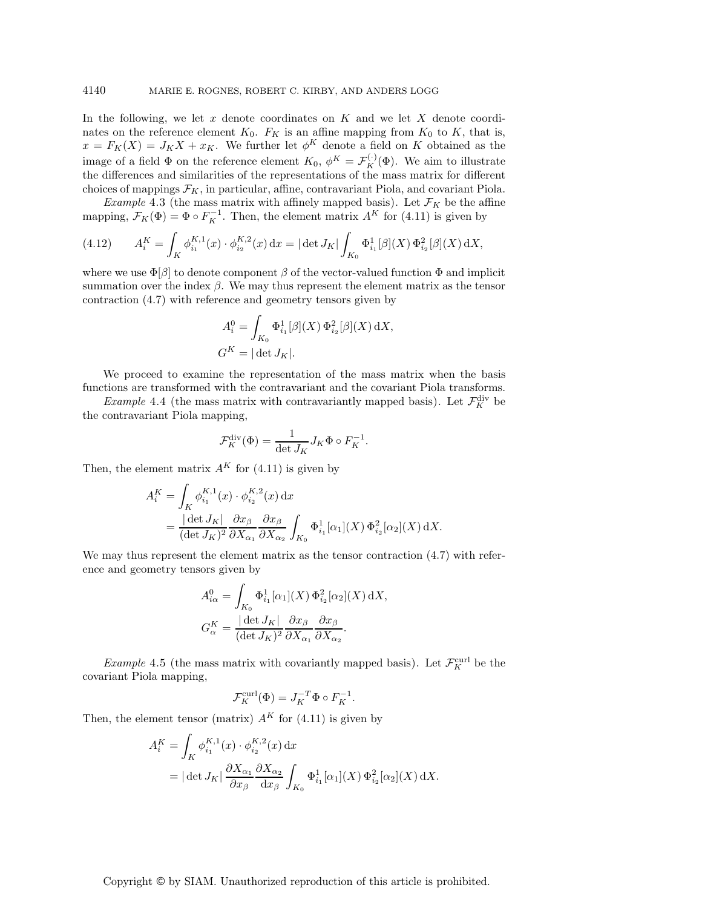In the following, we let  $x$  denote coordinates on  $K$  and we let  $X$  denote coordinates on the reference element  $K_0$ .  $F_K$  is an affine mapping from  $K_0$  to K, that is,  $x = F_K(X) = J_K X + x_K$ . We further let  $\phi^K$  denote a field on K obtained as the image of a field  $\Phi$  on the reference element  $K_0$ ,  $\phi^K = \mathcal{F}_K^{(\cdot)}(\Phi)$ . We aim to illustrate the differences and similarities of the representations of the mass matrix for different choices of mappings  $\mathcal{F}_K$ , in particular, affine, contravariant Piola, and covariant Piola.

*Example* 4.3 (the mass matrix with affinely mapped basis). Let  $\mathcal{F}_K$  be the affine mapping,  $F_K(\Phi) = \Phi \circ F_K^{-1}$ . Then, the element matrix  $A^K$  for (4.11) is given by

(4.12) 
$$
A_i^K = \int_K \phi_{i_1}^{K,1}(x) \cdot \phi_{i_2}^{K,2}(x) dx = |\det J_K| \int_{K_0} \Phi_{i_1}^1[\beta](X) \Phi_{i_2}^2[\beta](X) dX,
$$

where we use  $\Phi[\beta]$  to denote component  $\beta$  of the vector-valued function  $\Phi$  and implicit summation over the index  $\beta$ . We may thus represent the element matrix as the tensor contraction (4.7) with reference and geometry tensors given by

$$
A_i^0 = \int_{K_0} \Phi_{i_1}^1[\beta](X) \Phi_{i_2}^2[\beta](X) dX,
$$
  

$$
G^K = |\det J_K|.
$$

We proceed to examine the representation of the mass matrix when the basis functions are transformed with the contravariant and the covariant Piola transforms.

*Example* 4.4 (the mass matrix with contravariantly mapped basis). Let  $\mathcal{F}_K^{\text{div}}$  be the contravariant Piola mapping,

$$
\mathcal{F}_K^{\text{div}}(\Phi) = \frac{1}{\det J_K} J_K \Phi \circ F_K^{-1}.
$$

Then, the element matrix  $A^K$  for (4.11) is given by

$$
A_i^K = \int_K \phi_{i_1}^{K,1}(x) \cdot \phi_{i_2}^{K,2}(x) dx
$$
  
= 
$$
\frac{|\det J_K|}{(\det J_K)^2} \frac{\partial x_\beta}{\partial X_{\alpha_1}} \frac{\partial x_\beta}{\partial X_{\alpha_2}} \int_{K_0} \Phi_{i_1}^1[\alpha_1](X) \Phi_{i_2}^2[\alpha_2](X) dX.
$$

We may thus represent the element matrix as the tensor contraction  $(4.7)$  with reference and geometry tensors given by

$$
A_{i\alpha}^{0} = \int_{K_{0}} \Phi_{i_{1}}^{1} [\alpha_{1}](X) \Phi_{i_{2}}^{2} [\alpha_{2}](X) dX,
$$
  

$$
G_{\alpha}^{K} = \frac{|\det J_{K}|}{(\det J_{K})^{2}} \frac{\partial x_{\beta}}{\partial X_{\alpha_{1}}} \frac{\partial x_{\beta}}{\partial X_{\alpha_{2}}}.
$$

*Example* 4.5 (the mass matrix with covariantly mapped basis). Let  $\mathcal{F}_K^{\text{curl}}$  be the covariant Piola mapping,

$$
\mathcal{F}_K^{\operatorname{curl}}(\Phi)=J_K^{-T}\Phi\circ F_K^{-1}.
$$

Then, the element tensor (matrix)  $A<sup>K</sup>$  for (4.11) is given by

$$
A_i^K = \int_K \phi_{i_1}^{K,1}(x) \cdot \phi_{i_2}^{K,2}(x) dx
$$
  
=  $|\det J_K| \frac{\partial X_{\alpha_1}}{\partial x_\beta} \frac{\partial X_{\alpha_2}}{\partial x_\beta} \int_{K_0} \Phi_{i_1}^1[\alpha_1](X) \Phi_{i_2}^2[\alpha_2](X) dX.$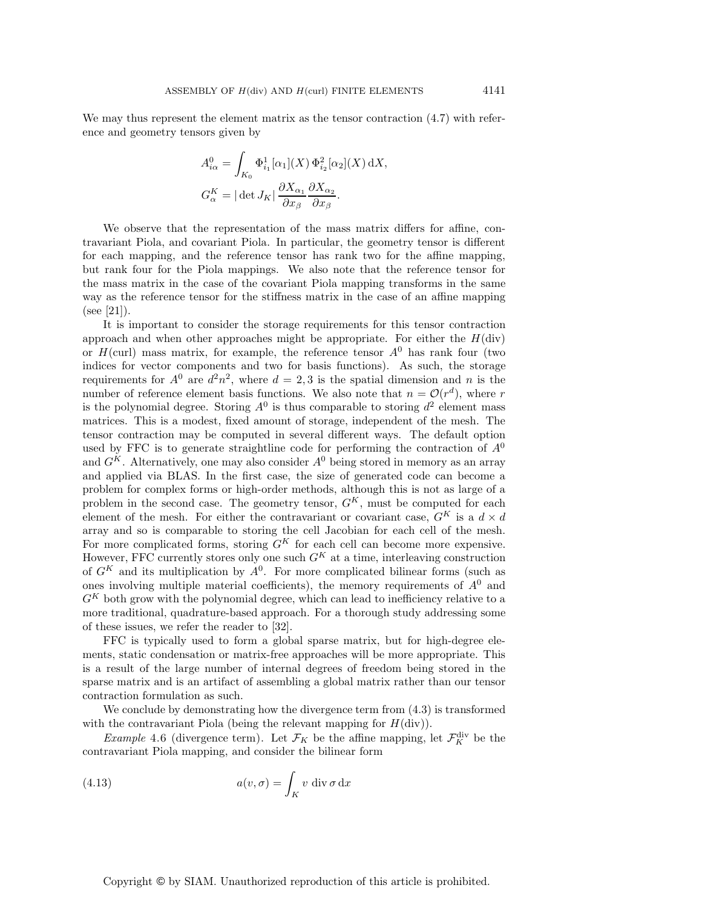We may thus represent the element matrix as the tensor contraction (4.7) with reference and geometry tensors given by

$$
A_{i\alpha}^{0} = \int_{K_{0}} \Phi_{i_{1}}^{1} [\alpha_{1}](X) \Phi_{i_{2}}^{2} [\alpha_{2}](X) dX,
$$
  

$$
G_{\alpha}^{K} = |\det J_{K}| \frac{\partial X_{\alpha_{1}}}{\partial x_{\beta}} \frac{\partial X_{\alpha_{2}}}{\partial x_{\beta}}.
$$

We observe that the representation of the mass matrix differs for affine, contravariant Piola, and covariant Piola. In particular, the geometry tensor is different for each mapping, and the reference tensor has rank two for the affine mapping, but rank four for the Piola mappings. We also note that the reference tensor for the mass matrix in the case of the covariant Piola mapping transforms in the same way as the reference tensor for the stiffness matrix in the case of an affine mapping (see [21]).

It is important to consider the storage requirements for this tensor contraction approach and when other approaches might be appropriate. For either the  $H(\text{div})$ or  $H$ (curl) mass matrix, for example, the reference tensor  $A<sup>0</sup>$  has rank four (two indices for vector components and two for basis functions). As such, the storage requirements for  $A^0$  are  $d^2n^2$ , where  $d = 2, 3$  is the spatial dimension and n is the number of reference element basis functions. We also note that  $n = \mathcal{O}(r^d)$ , where r is the polynomial degree. Storing  $A^0$  is thus comparable to storing  $d^2$  element mass matrices. This is a modest, fixed amount of storage, independent of the mesh. The tensor contraction may be computed in several different ways. The default option used by FFC is to generate straightline code for performing the contraction of  $A^0$ and  $G<sup>K</sup>$ . Alternatively, one may also consider  $A<sup>0</sup>$  being stored in memory as an array and applied via BLAS. In the first case, the size of generated code can become a problem for complex forms or high-order methods, although this is not as large of a problem in the second case. The geometry tensor,  $G<sup>K</sup>$ , must be computed for each element of the mesh. For either the contravariant or covariant case,  $G^K$  is a  $d \times d$ array and so is comparable to storing the cell Jacobian for each cell of the mesh. For more complicated forms, storing  $G<sup>K</sup>$  for each cell can become more expensive. However, FFC currently stores only one such  $G<sup>K</sup>$  at a time, interleaving construction of  $G<sup>K</sup>$  and its multiplication by  $A<sup>0</sup>$ . For more complicated bilinear forms (such as ones involving multiple material coefficients), the memory requirements of  $A<sup>0</sup>$  and  $G<sup>K</sup>$  both grow with the polynomial degree, which can lead to inefficiency relative to a more traditional, quadrature-based approach. For a thorough study addressing some of these issues, we refer the reader to [32].

FFC is typically used to form a global sparse matrix, but for high-degree elements, static condensation or matrix-free approaches will be more appropriate. This is a result of the large number of internal degrees of freedom being stored in the sparse matrix and is an artifact of assembling a global matrix rather than our tensor contraction formulation as such.

We conclude by demonstrating how the divergence term from (4.3) is transformed with the contravariant Piola (being the relevant mapping for  $H(\text{div})$ ).

*Example* 4.6 (divergence term). Let  $\mathcal{F}_K$  be the affine mapping, let  $\mathcal{F}_K^{\text{div}}$  be the contravariant Piola mapping, and consider the bilinear form

(4.13) 
$$
a(v, \sigma) = \int_{K} v \operatorname{div} \sigma \operatorname{dx}
$$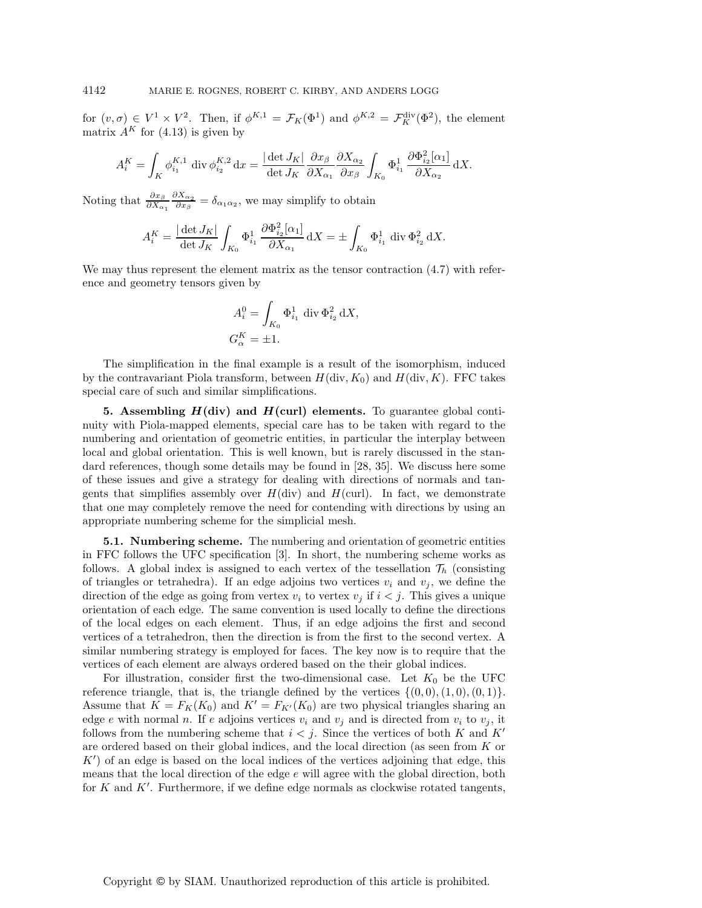for  $(v, \sigma) \in V^1 \times V^2$ . Then, if  $\phi^{K,1} = \mathcal{F}_K(\Phi^1)$  and  $\phi^{K,2} = \mathcal{F}_K^{\text{div}}(\Phi^2)$ , the element matrix  $A^K$  for (4.13) is given by

$$
A^K_i=\int_K \phi^{K,1}_{i_1}~\operatorname{div}\phi^{K,2}_{i_2}\operatorname{d}\! x=\frac{|\det J_K|}{\det J_K}\frac{\partial x_\beta}{\partial X_{\alpha_1}}\frac{\partial X_{\alpha_2}}{\partial x_\beta}\int_{K_0}\Phi^1_{i_1}\frac{\partial\Phi^2_{i_2}[\alpha_1]}{\partial X_{\alpha_2}}\operatorname{d}\! X.
$$

Noting that  $\frac{\partial x_\beta}{\partial X_{\alpha_1}}$  $\frac{\partial X_{\alpha_2}}{\partial x_{\beta}} = \delta_{\alpha_1 \alpha_2}$ , we may simplify to obtain

$$
A^K_i=\frac{|\det J_K|}{\det J_K}\int_{K_0}\Phi^1_{i_1}\,\frac{\partial\Phi^2_{i_2}[\alpha_1]}{\partial X_{\alpha_1}}\,\mathrm{d} X=\pm\int_{K_0}\Phi^1_{i_1}\,\operatorname{div}\Phi^2_{i_2}\,\mathrm{d} X.
$$

We may thus represent the element matrix as the tensor contraction (4.7) with reference and geometry tensors given by

$$
A_i^0 = \int_{K_0} \Phi_{i_1}^1 \operatorname{div} \Phi_{i_2}^2 \mathrm{d}X,
$$
  

$$
G_{\alpha}^K = \pm 1.
$$

The simplification in the final example is a result of the isomorphism, induced by the contravariant Piola transform, between  $H(\text{div}, K_0)$  and  $H(\text{div}, K)$ . FFC takes special care of such and similar simplifications.

**5. Assembling** *H***(div) and** *H***(curl) elements.** To guarantee global continuity with Piola-mapped elements, special care has to be taken with regard to the numbering and orientation of geometric entities, in particular the interplay between local and global orientation. This is well known, but is rarely discussed in the standard references, though some details may be found in [28, 35]. We discuss here some of these issues and give a strategy for dealing with directions of normals and tangents that simplifies assembly over  $H(\text{div})$  and  $H(\text{curl})$ . In fact, we demonstrate that one may completely remove the need for contending with directions by using an appropriate numbering scheme for the simplicial mesh.

**5.1. Numbering scheme.** The numbering and orientation of geometric entities in FFC follows the UFC specification [3]. In short, the numbering scheme works as follows. A global index is assigned to each vertex of the tessellation  $\mathcal{T}_h$  (consisting of triangles or tetrahedra). If an edge adjoins two vertices  $v_i$  and  $v_j$ , we define the direction of the edge as going from vertex  $v_i$  to vertex  $v_j$  if  $i < j$ . This gives a unique orientation of each edge. The same convention is used locally to define the directions of the local edges on each element. Thus, if an edge adjoins the first and second vertices of a tetrahedron, then the direction is from the first to the second vertex. A similar numbering strategy is employed for faces. The key now is to require that the vertices of each element are always ordered based on the their global indices.

For illustration, consider first the two-dimensional case. Let  $K_0$  be the UFC reference triangle, that is, the triangle defined by the vertices  $\{(0,0), (1,0), (0,1)\}.$ Assume that  $K = F_K(K_0)$  and  $K' = F_{K'}(K_0)$  are two physical triangles sharing an edge e with normal n. If e adjoins vertices  $v_i$  and  $v_j$  and is directed from  $v_i$  to  $v_j$ , it follows from the numbering scheme that  $i < j$ . Since the vertices of both K and K' are ordered based on their global indices, and the local direction (as seen from K or K ) of an edge is based on the local indices of the vertices adjoining that edge, this means that the local direction of the edge  $e$  will agree with the global direction, both for  $K$  and  $K'$ . Furthermore, if we define edge normals as clockwise rotated tangents,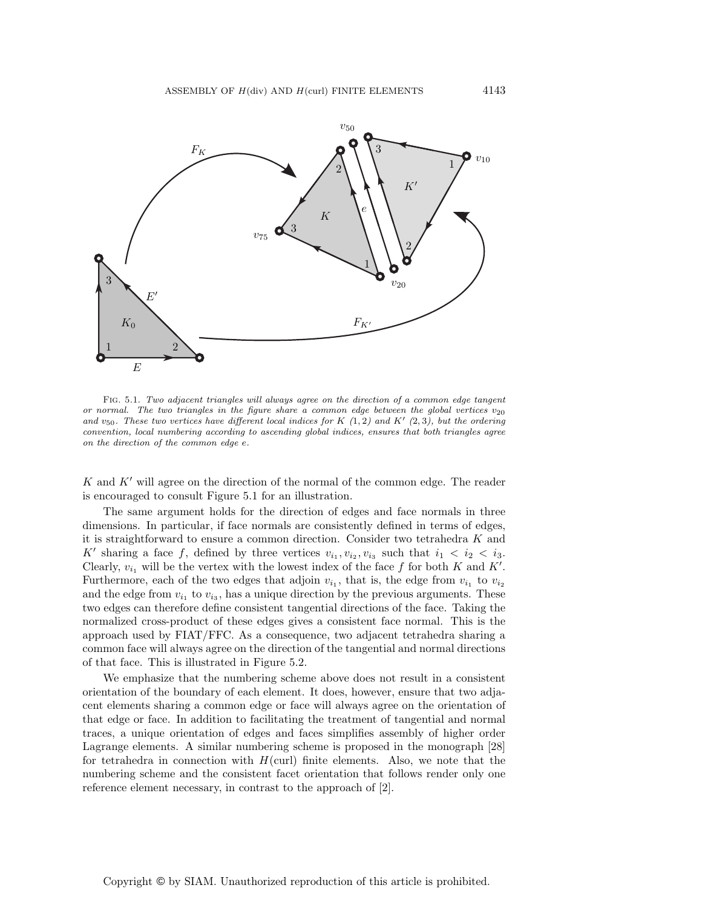

Fig. 5.1. Two adjacent triangles will always agree on the direction of a common edge tangent or normal. The two triangles in the figure share a common edge between the global vertices  $v_{20}$ and  $v_{50}$ . These two vertices have different local indices for K (1, 2) and K' (2, 3), but the ordering convention, local numbering according to ascending global indices, ensures that both triangles agree on the direction of the common edge e.

 $K$  and  $K'$  will agree on the direction of the normal of the common edge. The reader is encouraged to consult Figure 5.1 for an illustration.

The same argument holds for the direction of edges and face normals in three dimensions. In particular, if face normals are consistently defined in terms of edges, it is straightforward to ensure a common direction. Consider two tetrahedra K and K' sharing a face f, defined by three vertices  $v_{i_1}, v_{i_2}, v_{i_3}$  such that  $i_1 < i_2 < i_3$ . Clearly,  $v_{i_1}$  will be the vertex with the lowest index of the face f for both K and K'. Furthermore, each of the two edges that adjoin  $v_{i_1}$ , that is, the edge from  $v_{i_1}$  to  $v_{i_2}$ and the edge from  $v_{i_1}$  to  $v_{i_3}$ , has a unique direction by the previous arguments. These two edges can therefore define consistent tangential directions of the face. Taking the normalized cross-product of these edges gives a consistent face normal. This is the approach used by FIAT/FFC. As a consequence, two adjacent tetrahedra sharing a common face will always agree on the direction of the tangential and normal directions of that face. This is illustrated in Figure 5.2.

We emphasize that the numbering scheme above does not result in a consistent orientation of the boundary of each element. It does, however, ensure that two adjacent elements sharing a common edge or face will always agree on the orientation of that edge or face. In addition to facilitating the treatment of tangential and normal traces, a unique orientation of edges and faces simplifies assembly of higher order Lagrange elements. A similar numbering scheme is proposed in the monograph [28] for tetrahedra in connection with  $H(\text{curl})$  finite elements. Also, we note that the numbering scheme and the consistent facet orientation that follows render only one reference element necessary, in contrast to the approach of [2].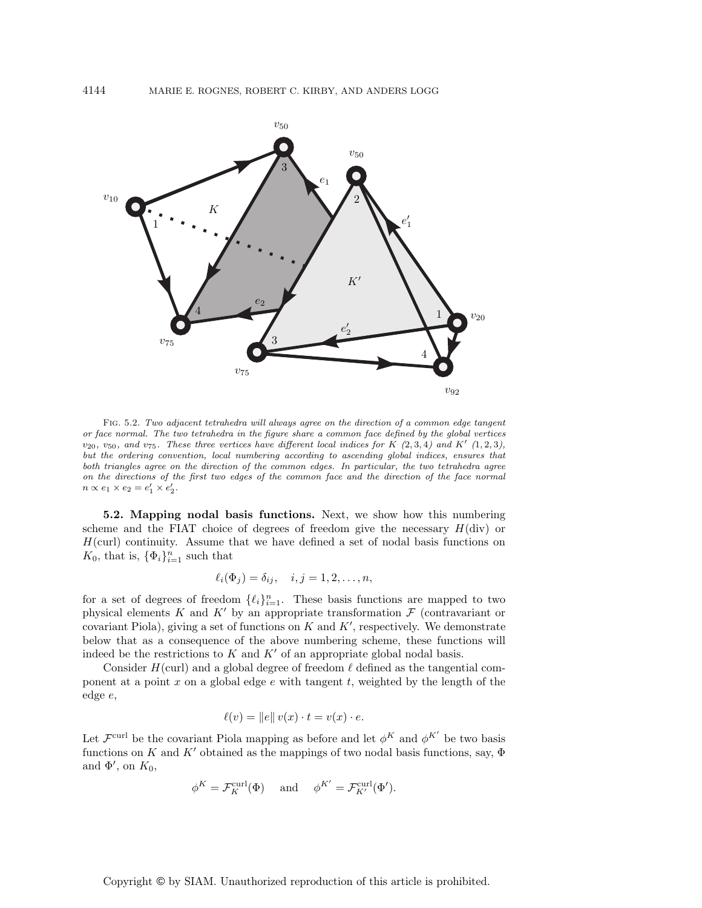

Fig. 5.2. Two adjacent tetrahedra will always agree on the direction of a common edge tangent or face normal. The two tetrahedra in the figure share a common face defined by the global vertices  $v_{20}$ ,  $v_{50}$ , and  $v_{75}$ . These three vertices have different local indices for K (2, 3, 4) and K' (1, 2, 3), but the ordering convention, local numbering according to ascending global indices, ensures that both triangles agree on the direction of the common edges. In particular, the two tetrahedra agree on the directions of the first two edges of the common face and the direction of the face normal  $n \propto e_1 \times e_2 = e'_1 \times e'_2.$ 

**5.2. Mapping nodal basis functions.** Next, we show how this numbering scheme and the FIAT choice of degrees of freedom give the necessary  $H(\text{div})$  or  $H(\text{curl})$  continuity. Assume that we have defined a set of nodal basis functions on  $K_0$ , that is,  $\{\Phi_i\}_{i=1}^n$  such that

$$
\ell_i(\Phi_j) = \delta_{ij}, \quad i, j = 1, 2, \dots, n,
$$

for a set of degrees of freedom  $\{\ell_i\}_{i=1}^n$ . These basis functions are mapped to two physical elements K and K' by an appropriate transformation  $\mathcal F$  (contravariant or covariant Piola), giving a set of functions on  $K$  and  $K'$ , respectively. We demonstrate below that as a consequence of the above numbering scheme, these functions will indeed be the restrictions to  $K$  and  $K'$  of an appropriate global nodal basis.

Consider  $H(\text{curl})$  and a global degree of freedom  $\ell$  defined as the tangential component at a point  $x$  on a global edge  $e$  with tangent  $t$ , weighted by the length of the edge e,

$$
\ell(v) = \|e\| v(x) \cdot t = v(x) \cdot e.
$$

Let  $\mathcal{F}^{\text{curl}}$  be the covariant Piola mapping as before and let  $\phi^K$  and  $\phi^{K'}$  be two basis functions on K and K' obtained as the mappings of two nodal basis functions, say,  $\Phi$ and  $\Phi'$ , on  $K_0$ ,

$$
\phi^K = \mathcal{F}_K^{\operatorname{curl}}(\Phi) \quad \text{ and } \quad \phi^{K'} = \mathcal{F}_{K'}^{\operatorname{curl}}(\Phi').
$$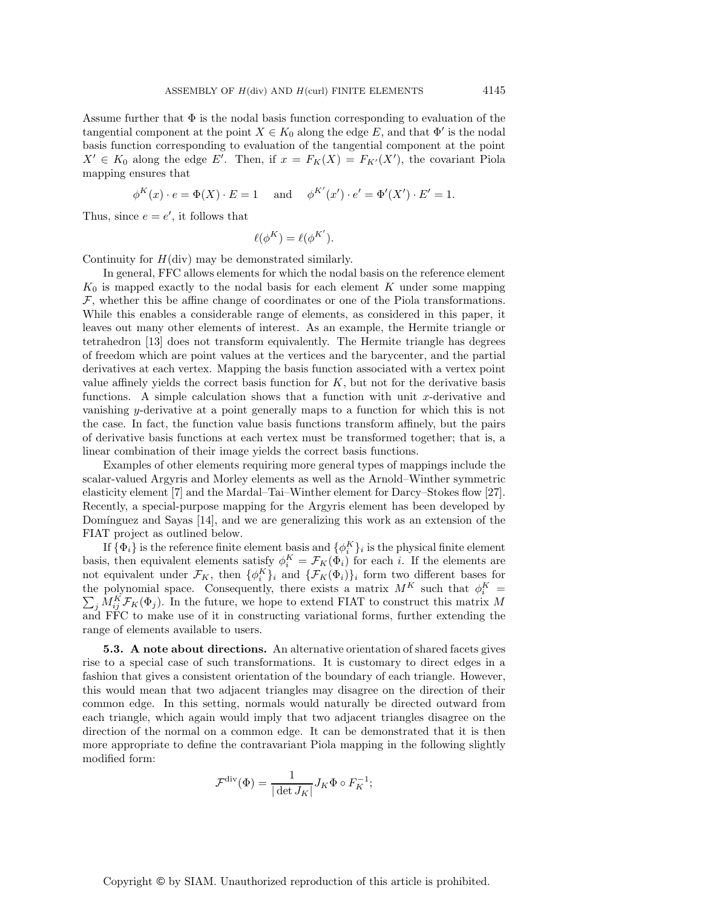Assume further that  $\Phi$  is the nodal basis function corresponding to evaluation of the tangential component at the point  $X \in K_0$  along the edge E, and that  $\Phi'$  is the nodal basis function corresponding to evaluation of the tangential component at the point  $X' \in K_0$  along the edge E'. Then, if  $x = F_K(X) = F_{K'}(X')$ , the covariant Piola mapping ensures that

 $\phi^K(x) \cdot e = \Phi(X) \cdot E = 1$  and  $\phi^{K'}(x') \cdot e' = \Phi'(X') \cdot E' = 1$ .

Thus, since  $e = e'$ , it follows that

$$
\ell(\phi^K) = \ell(\phi^{K'}).
$$

Continuity for  $H(\text{div})$  may be demonstrated similarly.

In general, FFC allows elements for which the nodal basis on the reference element  $K_0$  is mapped exactly to the nodal basis for each element K under some mapping  $F$ , whether this be affine change of coordinates or one of the Piola transformations. While this enables a considerable range of elements, as considered in this paper, it leaves out many other elements of interest. As an example, the Hermite triangle or tetrahedron [13] does not transform equivalently. The Hermite triangle has degrees of freedom which are point values at the vertices and the barycenter, and the partial derivatives at each vertex. Mapping the basis function associated with a vertex point value affinely yields the correct basis function for  $K$ , but not for the derivative basis functions. A simple calculation shows that a function with unit  $x$ -derivative and vanishing y-derivative at a point generally maps to a function for which this is not the case. In fact, the function value basis functions transform affinely, but the pairs of derivative basis functions at each vertex must be transformed together; that is, a linear combination of their image yields the correct basis functions.

Examples of other elements requiring more general types of mappings include the scalar-valued Argyris and Morley elements as well as the Arnold–Winther symmetric elasticity element [7] and the Mardal–Tai–Winther element for Darcy–Stokes flow [27]. Recently, a special-purpose mapping for the Argyris element has been developed by Domínguez and Sayas  $[14]$ , and we are generalizing this work as an extension of the FIAT project as outlined below.

If  $\{\Phi_i\}$  is the reference finite element basis and  $\{\phi_i^K\}_i$  is the physical finite element basis, then equivalent elements satisfy  $\phi_i^K = \mathcal{F}_K(\Phi_i)$  for each i. If the elements are not equivalent under  $\mathcal{F}_K$ , then  $\{\phi_i^K\}_i$  and  $\{\mathcal{F}_K(\Phi_i)\}_i$  form two different bases for the polynomial space. Consequently, there exists a matrix  $M^K$  such that  $\phi_i^K$  $\sum_{i} M_{ij}^K \mathcal{F}_K(\Phi_j)$ . In the future, we hope to extend FIAT to construct this matrix M and FFC to make use of it in constructing variational forms, further extending the range of elements available to users.

**5.3.** A note about directions. An alternative orientation of shared facets gives rise to a special case of such transformations. It is customary to direct edges in a fashion that gives a consistent orientation of the boundary of each triangle. However, this would mean that two adjacent triangles may disagree on the direction of their common edge. In this setting, normals would naturally be directed outward from each triangle, which again would imply that two adjacent triangles disagree on the direction of the normal on a common edge. It can be demonstrated that it is then more appropriate to define the contravariant Piola mapping in the following slightly modified form:

$$
\mathcal{F}^{\text{div}}(\Phi) = \frac{1}{|\det J_K|} J_K \Phi \circ F_K^{-1};
$$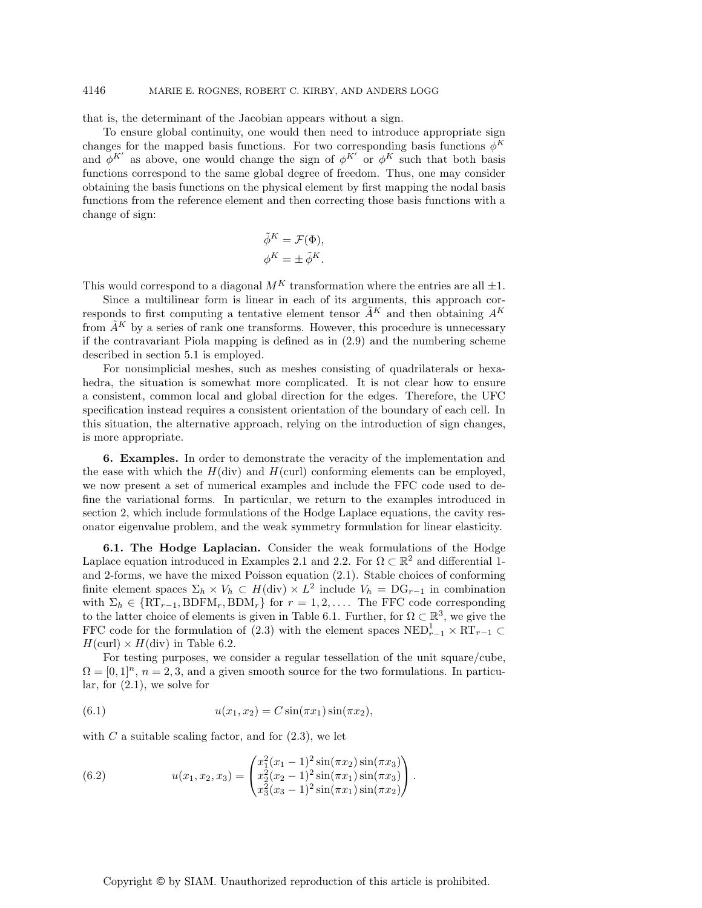# 4146 MARIE E. ROGNES, ROBERT C. KIRBY, AND ANDERS LOGG

that is, the determinant of the Jacobian appears without a sign.

To ensure global continuity, one would then need to introduce appropriate sign changes for the mapped basis functions. For two corresponding basis functions  $\phi^K$ and  $\phi^{K'}$  as above, one would change the sign of  $\phi^{K'}$  or  $\phi^{K}$  such that both basis functions correspond to the same global degree of freedom. Thus, one may consider obtaining the basis functions on the physical element by first mapping the nodal basis functions from the reference element and then correcting those basis functions with a change of sign:

$$
\begin{aligned}\n\tilde{\phi}^K &= \mathcal{F}(\Phi), \\
\phi^K &= \pm \tilde{\phi}^K.\n\end{aligned}
$$

This would correspond to a diagonal  $M<sup>K</sup>$  transformation where the entries are all  $\pm 1$ .

Since a multilinear form is linear in each of its arguments, this approach corresponds to first computing a tentative element tensor  $\tilde{A}^K$  and then obtaining  $A^K$ from  $\tilde{A}^K$  by a series of rank one transforms. However, this procedure is unnecessary if the contravariant Piola mapping is defined as in (2.9) and the numbering scheme described in section 5.1 is employed.

For nonsimplicial meshes, such as meshes consisting of quadrilaterals or hexahedra, the situation is somewhat more complicated. It is not clear how to ensure a consistent, common local and global direction for the edges. Therefore, the UFC specification instead requires a consistent orientation of the boundary of each cell. In this situation, the alternative approach, relying on the introduction of sign changes, is more appropriate.

**6. Examples.** In order to demonstrate the veracity of the implementation and the ease with which the  $H(\text{div})$  and  $H(\text{curl})$  conforming elements can be employed, we now present a set of numerical examples and include the FFC code used to define the variational forms. In particular, we return to the examples introduced in section 2, which include formulations of the Hodge Laplace equations, the cavity resonator eigenvalue problem, and the weak symmetry formulation for linear elasticity.

**6.1. The Hodge Laplacian.** Consider the weak formulations of the Hodge Laplace equation introduced in Examples 2.1 and 2.2. For  $\Omega \subset \mathbb{R}^2$  and differential 1and 2-forms, we have the mixed Poisson equation (2.1). Stable choices of conforming finite element spaces  $\Sigma_h \times V_h \subset H(\text{div}) \times L^2$  include  $V_h = DG_{r-1}$  in combination with  $\Sigma_h \in \{ RT_{r-1}, BDFM_r, BDM_r \}$  for  $r = 1, 2, \ldots$ . The FFC code corresponding to the latter choice of elements is given in Table 6.1. Further, for  $\Omega \subset \mathbb{R}^3$ , we give the FFC code for the formulation of (2.3) with the element spaces  $NED_{r-1}^1 \times RT_{r-1} \subset$  $H(\text{curl}) \times H(\text{div})$  in Table 6.2.

For testing purposes, we consider a regular tessellation of the unit square/cube,  $\Omega = [0, 1]^n$ ,  $n = 2, 3$ , and a given smooth source for the two formulations. In particular, for (2.1), we solve for

(6.1) 
$$
u(x_1, x_2) = C \sin(\pi x_1) \sin(\pi x_2),
$$

with  $C$  a suitable scaling factor, and for  $(2.3)$ , we let

(6.2) 
$$
u(x_1, x_2, x_3) = \begin{pmatrix} x_1^2(x_1 - 1)^2 \sin(\pi x_2) \sin(\pi x_3) \\ x_2^2(x_2 - 1)^2 \sin(\pi x_1) \sin(\pi x_3) \\ x_3^2(x_3 - 1)^2 \sin(\pi x_1) \sin(\pi x_2) \end{pmatrix}.
$$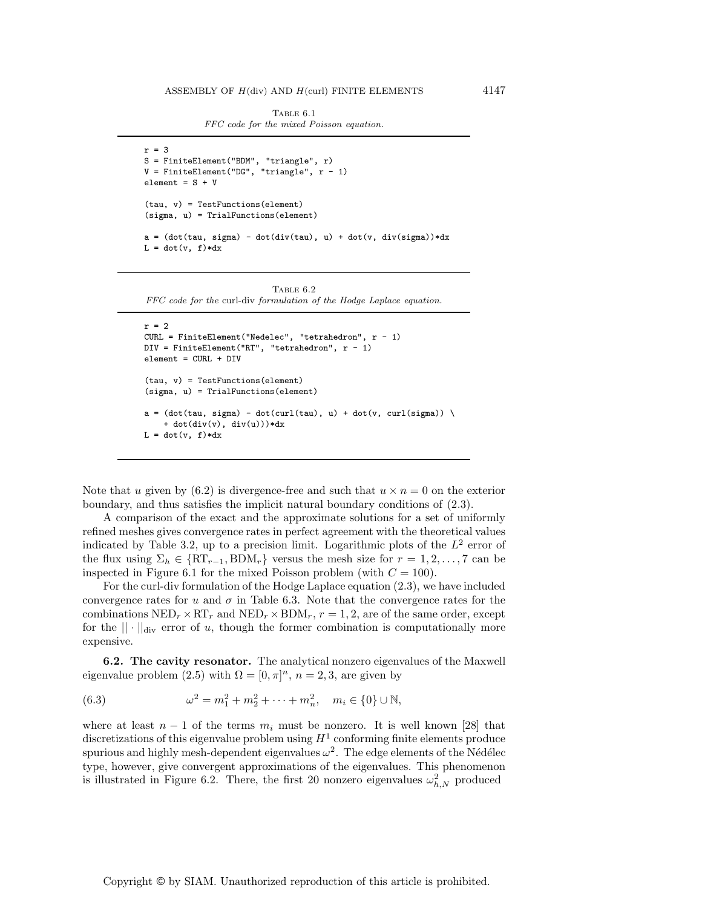Table 6.1 FFC code for the mixed Poisson equation.

```
r=3S = FiniteElement("BDM", "triangle", r)
V = FiniteElement("DG", "triangle", r - 1)element = S + V(tau, v) = TestFunctions(element)
(sigma, u) = TrialFunctions(element)
a = (dot(tau, sigma) - dot(div(tau), u) + dot(v, div(sigma)) * dxL = dot(v, f)*dx
```
Table 6.2 FFC code for the curl-div formulation of the Hodge Laplace equation.

```
r=2CURL = FiniteElement("Nedelec", "tetrahedron", r - 1)
DIV = FiniteElement("RT", "tetrahedron", r - 1)
element = CURL + DIV
(tau, v) = TestFunctions(element)
(sigma, u) = TrialFunctions(element)
a = (dot(tau, sigma) - dot(curl(tau), u) + dot(v, curl(sigma)) )+ dot(div(v), div(u)))*dx
L = dot(v, f)*dx
```
Note that u given by  $(6.2)$  is divergence-free and such that  $u \times n = 0$  on the exterior boundary, and thus satisfies the implicit natural boundary conditions of (2.3).

A comparison of the exact and the approximate solutions for a set of uniformly refined meshes gives convergence rates in perfect agreement with the theoretical values indicated by Table 3.2, up to a precision limit. Logarithmic plots of the  $L^2$  error of the flux using  $\Sigma_h \in \{RT_{r-1}, BDM_r\}$  versus the mesh size for  $r = 1, 2, ..., 7$  can be inspected in Figure 6.1 for the mixed Poisson problem (with  $C = 100$ ).

For the curl-div formulation of the Hodge Laplace equation (2.3), we have included convergence rates for u and  $\sigma$  in Table 6.3. Note that the convergence rates for the combinations  $NED_r \times RT_r$  and  $NED_r \times BDM_r$ ,  $r = 1, 2$ , are of the same order, except for the  $|| \cdot ||_{div}$  error of u, though the former combination is computationally more expensive.

**6.2. The cavity resonator.** The analytical nonzero eigenvalues of the Maxwell eigenvalue problem (2.5) with  $\Omega = [0, \pi]^n$ ,  $n = 2, 3$ , are given by

(6.3) 
$$
\omega^2 = m_1^2 + m_2^2 + \dots + m_n^2, \quad m_i \in \{0\} \cup \mathbb{N},
$$

where at least  $n-1$  of the terms  $m_i$  must be nonzero. It is well known [28] that discretizations of this eigenvalue problem using  $H<sup>1</sup>$  conforming finite elements produce spurious and highly mesh-dependent eigenvalues  $\omega^2$ . The edge elements of the Nédélec type, however, give convergent approximations of the eigenvalues. This phenomenon is illustrated in Figure 6.2. There, the first 20 nonzero eigenvalues  $\omega_{h,N}^2$  produced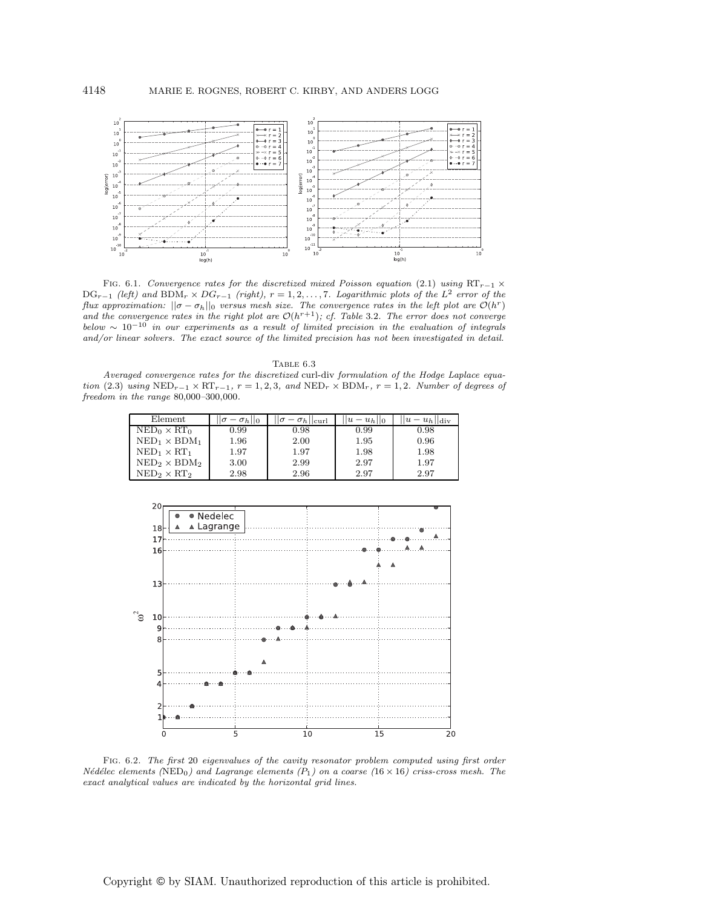

FIG. 6.1. Convergence rates for the discretized mixed Poisson equation (2.1) using RT<sub>r</sub>−1  $\times$  $DG_{r-1}$  (left) and  $BDM_r \times DG_{r-1}$  (right),  $r = 1, 2, ..., 7$ . Logarithmic plots of the L<sup>2</sup> error of the flux approximation:  $||\sigma - \sigma_h||_0$  versus mesh size. The convergence rates in the left plot are  $\mathcal{O}(h^r)$ and the convergence rates in the right plot are  $\mathcal{O}(h^{r+1})$ ; cf. Table 3.2. The error does not converge below  $\sim 10^{-10}$  in our experiments as a result of limited precision in the evaluation of integrals and/or linear solvers. The exact source of the limited precision has not been investigated in detail.

| TABLE 6.3                                                                                                                   |
|-----------------------------------------------------------------------------------------------------------------------------|
| Averaged convergence rates for the discretized curl-div formulation of the Hodge Laplace equa-                              |
| tion (2.3) using $NED_{r-1} \times RT_{r-1}$ , $r = 1, 2, 3$ , and $NED_r \times BDM_r$ , $r = 1, 2$ . Number of degrees of |
| freedom in the range $80,000-300,000$ .                                                                                     |

| Element              | $ \sigma-\sigma_h  _0$ | $= \sigma_h$   curl | $ u - u_h $  0 | $ u-u_h  _{\mathrm{div}}$ |
|----------------------|------------------------|---------------------|----------------|---------------------------|
| $NED_0 \times RT_0$  | 0.99                   | 0.98                | 0.99           | 0.98                      |
| $NED_1 \times BDM_1$ | 1.96                   | 2.00                | 1.95           | 0.96                      |
| $NED_1 \times RT_1$  | 1.97                   | 1.97                | 1.98           | 1.98                      |
| $NED_2 \times BDM_2$ | 3.00                   | 2.99                | 2.97           | 1.97                      |
| $NED_2 \times RT_2$  | 2.98                   | 2.96                | 2.97           | 2.97                      |



Fig. 6.2. The first 20 eigenvalues of the cavity resonator problem computed using first order Nédélec elements (NED<sub>0</sub>) and Lagrange elements  $(P_1)$  on a coarse (16 × 16) criss-cross mesh. The exact analytical values are indicated by the horizontal grid lines.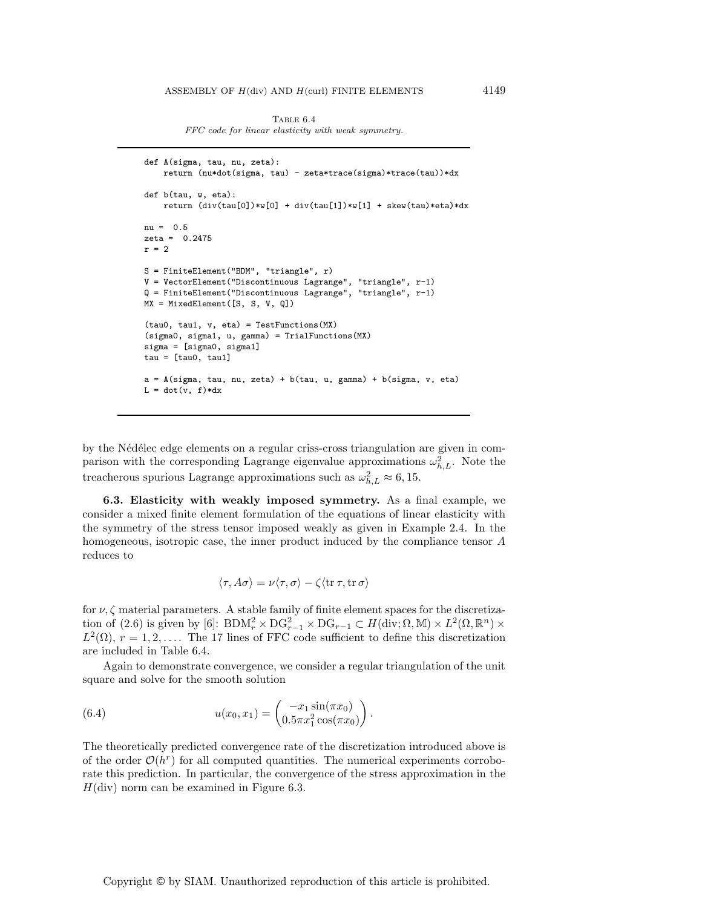TABLE 6.4 FFC code for linear elasticity with weak symmetry.

```
def A(sigma, tau, nu, zeta):
    return (nu*dot(sigma, tau) - zeta*trace(sigma)*trace(tau))*dx
def b(tau, w, eta):
    return \text{(div(tau[0])} * w[0] + \text{div(tau[1])} * w[1] + \text{skew(tau)} * \text{eta}) * \text{dx}nu = 0.5
zeta = 0.2475r=2S = FiniteElement("BDM", "triangle", r)
V = VectorElement("Discontinuous Lagrange", "triangle", r-1)
Q = FiniteElement("Discontinuous Lagrange", "triangle", r-1)
MX = MixedElement([S, S, V, Q])
(tau0, tau1, v, eta) = TestFunctions(MX)
(sigma0, sigma1, u, gamma) = TrialFunctions(MX)
sigma = [sigma0, sigma1]
tau = [tau0, tau1]a = A(sigma, tau, nu, zeta) + b(tau, u, gamma) + b(sigma, v, eta)
L = dot(v, f)*dx
```
by the Nédélec edge elements on a regular criss-cross triangulation are given in comparison with the corresponding Lagrange eigenvalue approximations  $\omega_{h,L}^2$ . Note the treacherous spurious Lagrange approximations such as  $\omega_{h,L}^2 \approx 6, 15$ .

**6.3. Elasticity with weakly imposed symmetry.** As a final example, we consider a mixed finite element formulation of the equations of linear elasticity with the symmetry of the stress tensor imposed weakly as given in Example 2.4. In the homogeneous, isotropic case, the inner product induced by the compliance tensor A reduces to

$$
\langle \tau, A\sigma \rangle = \nu \langle \tau, \sigma \rangle - \zeta \langle \operatorname{tr} \tau, \operatorname{tr} \sigma \rangle
$$

for  $\nu, \zeta$  material parameters. A stable family of finite element spaces for the discretization of (2.6) is given by [6]:  $BDM_r^2 \times DG_{r-1}^2 \times DG_{r-1} \subset H(\text{div}; \Omega, \mathbb{M}) \times L^2(\Omega, \mathbb{R}^n) \times$  $L^2(\Omega)$ ,  $r = 1, 2, \ldots$  The 17 lines of FFC code sufficient to define this discretization are included in Table 6.4.

Again to demonstrate convergence, we consider a regular triangulation of the unit square and solve for the smooth solution

(6.4) 
$$
u(x_0, x_1) = \begin{pmatrix} -x_1 \sin(\pi x_0) \\ 0.5\pi x_1^2 \cos(\pi x_0) \end{pmatrix}.
$$

The theoretically predicted convergence rate of the discretization introduced above is of the order  $\mathcal{O}(h^r)$  for all computed quantities. The numerical experiments corroborate this prediction. In particular, the convergence of the stress approximation in the  $H(\text{div})$  norm can be examined in Figure 6.3.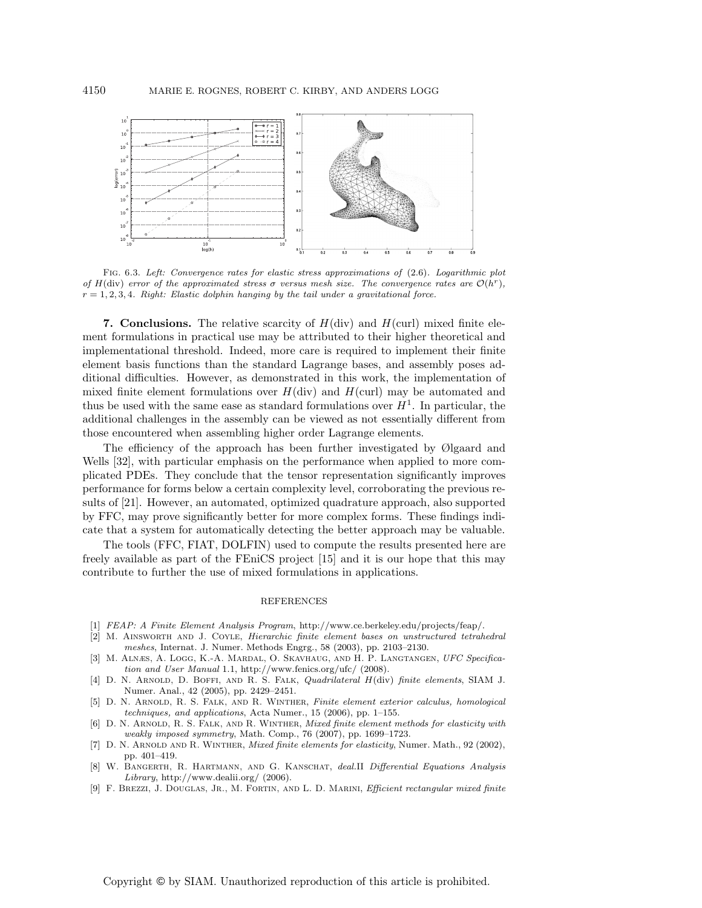

Fig. 6.3. Left: Convergence rates for elastic stress approximations of (2.6). Logarithmic plot of H(div) error of the approximated stress  $\sigma$  versus mesh size. The convergence rates are  $\mathcal{O}(h^r)$ ,  $r = 1, 2, 3, 4$ . Right: Elastic dolphin hanging by the tail under a gravitational force.

**7. Conclusions.** The relative scarcity of  $H(\text{div})$  and  $H(\text{curl})$  mixed finite element formulations in practical use may be attributed to their higher theoretical and implementational threshold. Indeed, more care is required to implement their finite element basis functions than the standard Lagrange bases, and assembly poses additional difficulties. However, as demonstrated in this work, the implementation of mixed finite element formulations over  $H(div)$  and  $H(curl)$  may be automated and thus be used with the same ease as standard formulations over  $H<sup>1</sup>$ . In particular, the additional challenges in the assembly can be viewed as not essentially different from those encountered when assembling higher order Lagrange elements.

The efficiency of the approach has been further investigated by Ølgaard and Wells [32], with particular emphasis on the performance when applied to more complicated PDEs. They conclude that the tensor representation significantly improves performance for forms below a certain complexity level, corroborating the previous results of [21]. However, an automated, optimized quadrature approach, also supported by FFC, may prove significantly better for more complex forms. These findings indicate that a system for automatically detecting the better approach may be valuable.

The tools (FFC, FIAT, DOLFIN) used to compute the results presented here are freely available as part of the FEniCS project [15] and it is our hope that this may contribute to further the use of mixed formulations in applications.

## REFERENCES

- [1] FEAP: A Finite Element Analysis Program, http://www.ce.berkeley.edu/projects/feap/.
- [2] M. Ainsworth and J. Coyle, Hierarchic finite element bases on unstructured tetrahedral meshes, Internat. J. Numer. Methods Engrg., 58 (2003), pp. 2103–2130.
- [3] M. Alnæs, A. Logg, K.-A. Mardal, O. Skavhaug, and H. P. Langtangen, UFC Specification and User Manual 1.1, http://www.fenics.org/ufc/ (2008).
- [4] D. N. Arnold, D. Boffi, and R. S. Falk, Quadrilateral H(div) finite elements, SIAM J. Numer. Anal., 42 (2005), pp. 2429–2451.
- [5] D. N. Arnold, R. S. Falk, and R. Winther, Finite element exterior calculus, homological techniques, and applications, Acta Numer., 15 (2006), pp. 1–155.
- [6] D. N. ARNOLD, R. S. FALK, AND R. WINTHER, *Mixed finite element methods for elasticity with* weakly imposed symmetry, Math. Comp., 76 (2007), pp. 1699–1723.
- [7] D. N. ARNOLD AND R. WINTHER, *Mixed finite elements for elasticity*, Numer. Math., 92 (2002), pp. 401–419.
- [8] W. Bangerth, R. Hartmann, and G. Kanschat, deal.II Differential Equations Analysis Library, http://www.dealii.org/ (2006).
- [9] F. Brezzi, J. Douglas, Jr., M. Fortin, and L. D. Marini, Efficient rectangular mixed finite